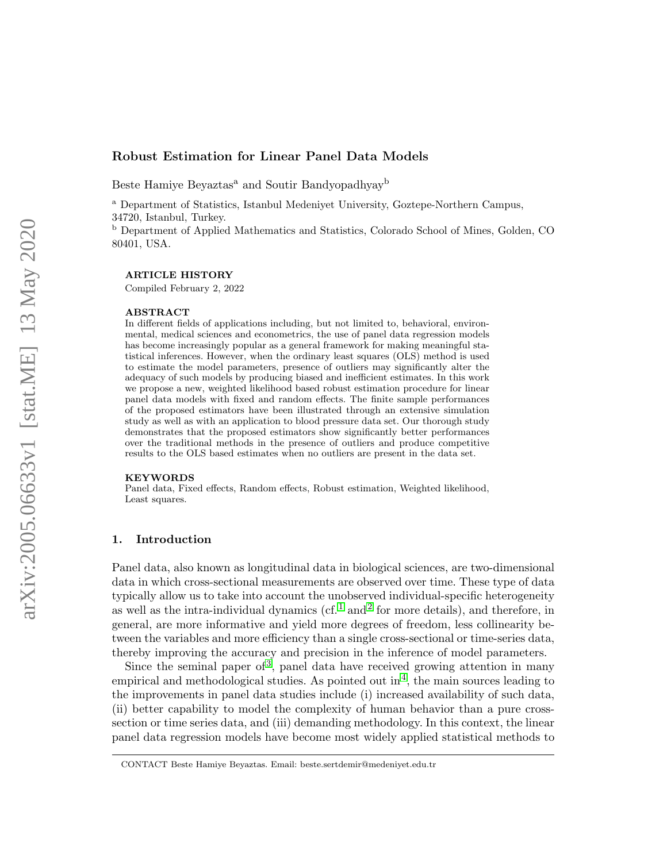# Robust Estimation for Linear Panel Data Models

Beste Hamiye Beyaztas<sup>a</sup> and Soutir Bandyopadhyay<sup>b</sup>

<sup>a</sup> Department of Statistics, Istanbul Medeniyet University, Goztepe-Northern Campus, 34720, Istanbul, Turkey.

<sup>b</sup> Department of Applied Mathematics and Statistics, Colorado School of Mines, Golden, CO 80401, USA.

### ARTICLE HISTORY

Compiled February 2, 2022

#### ABSTRACT

In different fields of applications including, but not limited to, behavioral, environmental, medical sciences and econometrics, the use of panel data regression models has become increasingly popular as a general framework for making meaningful statistical inferences. However, when the ordinary least squares (OLS) method is used to estimate the model parameters, presence of outliers may significantly alter the adequacy of such models by producing biased and inefficient estimates. In this work we propose a new, weighted likelihood based robust estimation procedure for linear panel data models with fixed and random effects. The finite sample performances of the proposed estimators have been illustrated through an extensive simulation study as well as with an application to blood pressure data set. Our thorough study demonstrates that the proposed estimators show significantly better performances over the traditional methods in the presence of outliers and produce competitive results to the OLS based estimates when no outliers are present in the data set.

#### KEYWORDS

Panel data, Fixed effects, Random effects, Robust estimation, Weighted likelihood, Least squares.

#### 1. Introduction

Panel data, also known as longitudinal data in biological sciences, are two-dimensional data in which cross-sectional measurements are observed over time. These type of data typically allow us to take into account the unobserved individual-specific heterogeneity as well as the intra-individual dynamics  $(cf. 1 and 2 for more details)$  $(cf. 1 and 2 for more details)$  $(cf. 1 and 2 for more details)$  $(cf. 1 and 2 for more details)$  $(cf. 1 and 2 for more details)$ , and therefore, in general, are more informative and yield more degrees of freedom, less collinearity between the variables and more efficiency than a single cross-sectional or time-series data, thereby improving the accuracy and precision in the inference of model parameters.

Since the seminal paper of<sup>[3](#page-14-2)</sup>, panel data have received growing attention in many empirical and methodological studies. As pointed out in<sup>[4](#page-14-3)</sup>, the main sources leading to the improvements in panel data studies include (i) increased availability of such data, (ii) better capability to model the complexity of human behavior than a pure crosssection or time series data, and (iii) demanding methodology. In this context, the linear panel data regression models have become most widely applied statistical methods to

CONTACT Beste Hamiye Beyaztas. Email: beste.sertdemir@medeniyet.edu.tr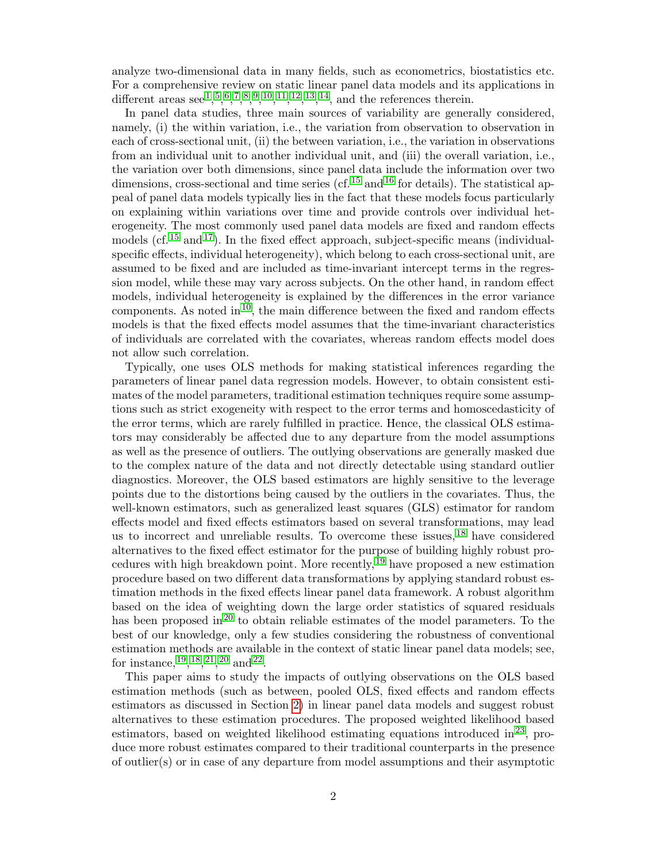analyze two-dimensional data in many fields, such as econometrics, biostatistics etc. For a comprehensive review on static linear panel data models and its applications in different areas see  $\frac{1}{2}$  $\frac{1}{2}$  $\frac{1}{2}$ ,  $\frac{5}{2}$  $\frac{5}{2}$  $\frac{5}{2}$ ,  $\frac{6}{2}$  $\frac{6}{2}$  $\frac{6}{2}$ ,  $\frac{7}{2}$  $\frac{7}{2}$  $\frac{7}{2}$ ,  $\frac{8}{2}$  $\frac{8}{2}$  $\frac{8}{2}$ ,  $\frac{9}{2}$  $\frac{9}{2}$  $\frac{9}{2}$ ,  $\frac{10}{2}$  $\frac{10}{2}$  $\frac{10}{2}$ ,  $\frac{11}{2}$  $\frac{11}{2}$  $\frac{11}{2}$ ,  $\frac{12}{2}$  $\frac{12}{2}$  $\frac{12}{2}$ ,  $\frac{13}{2}$  $\frac{13}{2}$  $\frac{13}{2}$ ,  $\frac{14}{2}$  $\frac{14}{2}$  $\frac{14}{2}$ , and the references therein.

In panel data studies, three main sources of variability are generally considered, namely, (i) the within variation, i.e., the variation from observation to observation in each of cross-sectional unit, (ii) the between variation, i.e., the variation in observations from an individual unit to another individual unit, and (iii) the overall variation, i.e., the variation over both dimensions, since panel data include the information over two dimensions, cross-sectional and time series (cf.  $^{15}$  $^{15}$  $^{15}$  and  $^{16}$  $^{16}$  $^{16}$  for details). The statistical appeal of panel data models typically lies in the fact that these models focus particularly on explaining within variations over time and provide controls over individual heterogeneity. The most commonly used panel data models are fixed and random effects models (cf.  $15$  and  $17$ ). In the fixed effect approach, subject-specific means (individualspecific effects, individual heterogeneity), which belong to each cross-sectional unit, are assumed to be fixed and are included as time-invariant intercept terms in the regression model, while these may vary across subjects. On the other hand, in random effect models, individual heterogeneity is explained by the differences in the error variance components. As noted in  $10$ , the main difference between the fixed and random effects models is that the fixed effects model assumes that the time-invariant characteristics of individuals are correlated with the covariates, whereas random effects model does not allow such correlation.

Typically, one uses OLS methods for making statistical inferences regarding the parameters of linear panel data regression models. However, to obtain consistent estimates of the model parameters, traditional estimation techniques require some assumptions such as strict exogeneity with respect to the error terms and homoscedasticity of the error terms, which are rarely fulfilled in practice. Hence, the classical OLS estimators may considerably be affected due to any departure from the model assumptions as well as the presence of outliers. The outlying observations are generally masked due to the complex nature of the data and not directly detectable using standard outlier diagnostics. Moreover, the OLS based estimators are highly sensitive to the leverage points due to the distortions being caused by the outliers in the covariates. Thus, the well-known estimators, such as generalized least squares (GLS) estimator for random effects model and fixed effects estimators based on several transformations, may lead us to incorrect and unreliable results. To overcome these issues,  $^{18}$  $^{18}$  $^{18}$  have considered alternatives to the fixed effect estimator for the purpose of building highly robust procedures with high breakdown point. More recently, [19](#page-15-6) have proposed a new estimation procedure based on two different data transformations by applying standard robust estimation methods in the fixed effects linear panel data framework. A robust algorithm based on the idea of weighting down the large order statistics of squared residuals has been proposed in<sup>[20](#page-15-7)</sup> to obtain reliable estimates of the model parameters. To the best of our knowledge, only a few studies considering the robustness of conventional estimation methods are available in the context of static linear panel data models; see, for instance,  $^{19}$  $^{19}$  $^{19}$ ,  $^{18}$  $^{18}$  $^{18}$ ,  $^{21}$  $^{21}$  $^{21}$ ,  $^{20}$  $^{20}$  $^{20}$  and  $^{22}$  $^{22}$  $^{22}$ .

This paper aims to study the impacts of outlying observations on the OLS based estimation methods (such as between, pooled OLS, fixed effects and random effects estimators as discussed in Section [2\)](#page-2-0) in linear panel data models and suggest robust alternatives to these estimation procedures. The proposed weighted likelihood based estimators, based on weighted likelihood estimating equations introduced in  $23$ , produce more robust estimates compared to their traditional counterparts in the presence of outlier(s) or in case of any departure from model assumptions and their asymptotic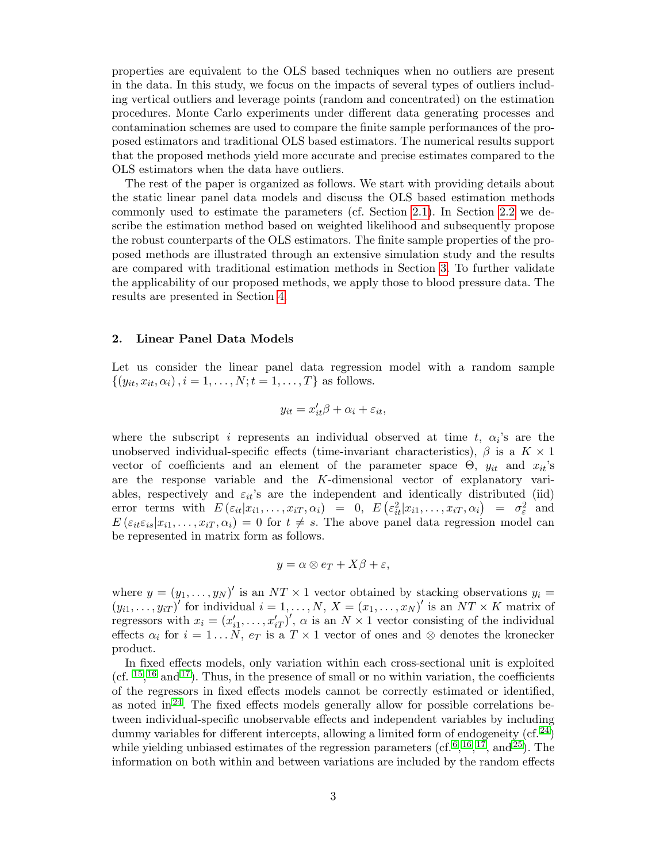properties are equivalent to the OLS based techniques when no outliers are present in the data. In this study, we focus on the impacts of several types of outliers including vertical outliers and leverage points (random and concentrated) on the estimation procedures. Monte Carlo experiments under different data generating processes and contamination schemes are used to compare the finite sample performances of the proposed estimators and traditional OLS based estimators. The numerical results support that the proposed methods yield more accurate and precise estimates compared to the OLS estimators when the data have outliers.

The rest of the paper is organized as follows. We start with providing details about the static linear panel data models and discuss the OLS based estimation methods commonly used to estimate the parameters (cf. Section [2.1\)](#page-3-0). In Section [2.2](#page-6-0) we describe the estimation method based on weighted likelihood and subsequently propose the robust counterparts of the OLS estimators. The finite sample properties of the proposed methods are illustrated through an extensive simulation study and the results are compared with traditional estimation methods in Section [3.](#page-11-0) To further validate the applicability of our proposed methods, we apply those to blood pressure data. The results are presented in Section [4.](#page-13-0)

### <span id="page-2-0"></span>2. Linear Panel Data Models

Let us consider the linear panel data regression model with a random sample  $\{(y_{it}, x_{it}, \alpha_i), i = 1, \ldots, N; t = 1, \ldots, T\}$  as follows.

$$
y_{it} = x_{it}'\beta + \alpha_i + \varepsilon_{it},
$$

where the subscript i represents an individual observed at time t,  $\alpha_i$ 's are the unobserved individual-specific effects (time-invariant characteristics),  $\beta$  is a  $K \times 1$ vector of coefficients and an element of the parameter space  $\Theta$ ,  $y_{it}$  and  $x_{it}$ 's are the response variable and the K-dimensional vector of explanatory variables, respectively and  $\varepsilon_{it}$ 's are the independent and identically distributed (iid) error terms with  $E(\varepsilon_{it}|x_{i1},...,x_{iT},\alpha_i) = 0, E(\varepsilon_{it}^2|x_{i1},...,x_{iT},\alpha_i) = \sigma_{\varepsilon}^2$  and  $E\left(\varepsilon_{it}\varepsilon_{is}|x_{i1},\ldots,x_{iT},\alpha_i\right)=0$  for  $t\neq s$ . The above panel data regression model can be represented in matrix form as follows.

$$
y = \alpha \otimes e_T + X\beta + \varepsilon,
$$

where  $y = (y_1, \ldots, y_N)'$  is an  $NT \times 1$  vector obtained by stacking observations  $y_i =$  $(y_{i1},...,y_{iT})'$  for individual  $i=1,...,N$ ,  $X=(x_1,...,x_N)'$  is an  $NT \times K$  matrix of regressors with  $x_i = (x'_{i1}, \ldots, x'_{iT})'$ ,  $\alpha$  is an  $N \times 1$  vector consisting of the individual effects  $\alpha_i$  for  $i = 1...N$ ,  $e_T$  is a  $T \times 1$  vector of ones and ⊗ denotes the kronecker product.

In fixed effects models, only variation within each cross-sectional unit is exploited (cf.  $15, 16$  $15, 16$  $15, 16$  and  $17$ ). Thus, in the presence of small or no within variation, the coefficients of the regressors in fixed effects models cannot be correctly estimated or identified, as noted in $^{24}$  $^{24}$  $^{24}$ . The fixed effects models generally allow for possible correlations between individual-specific unobservable effects and independent variables by including dummy variables for different intercepts, allowing a limited form of endogeneity  $(cf. 24)$  $(cf. 24)$  $(cf. 24)$ while yielding unbiased estimates of the regression parameters  $(cf, 6, 16, 17, and 25)$  $(cf, 6, 16, 17, and 25)$  $(cf, 6, 16, 17, and 25)$  $(cf, 6, 16, 17, and 25)$  $(cf, 6, 16, 17, and 25)$  $(cf, 6, 16, 17, and 25)$  $(cf, 6, 16, 17, and 25)$  $(cf, 6, 16, 17, and 25)$  $(cf, 6, 16, 17, and 25)$ . The information on both within and between variations are included by the random effects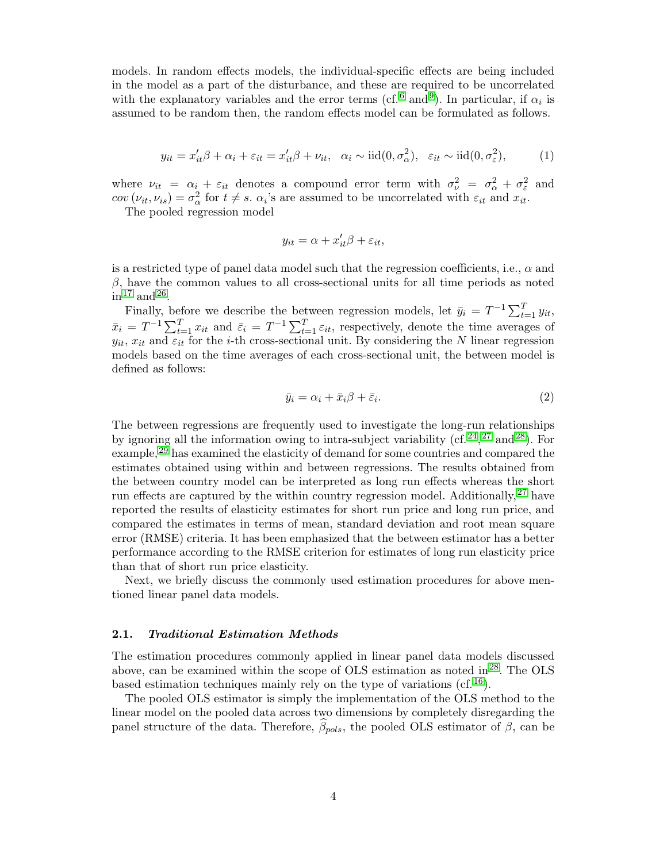models. In random effects models, the individual-specific effects are being included in the model as a part of the disturbance, and these are required to be uncorrelated with the explanatory variables and the error terms (cf.<sup>[6](#page-14-5)</sup> and<sup>[9](#page-14-8)</sup>). In particular, if  $\alpha_i$  is assumed to be random then, the random effects model can be formulated as follows.

<span id="page-3-1"></span>
$$
y_{it} = x_{it}'\beta + \alpha_i + \varepsilon_{it} = x_{it}'\beta + \nu_{it}, \quad \alpha_i \sim \text{iid}(0, \sigma_\alpha^2), \quad \varepsilon_{it} \sim \text{iid}(0, \sigma_\varepsilon^2), \tag{1}
$$

where  $\nu_{it} = \alpha_i + \varepsilon_{it}$  denotes a compound error term with  $\sigma_{\nu}^2 = \sigma_{\alpha}^2 + \sigma_{\varepsilon}^2$  and  $cov(\nu_{it}, \nu_{is}) = \sigma_{\alpha}^2$  for  $t \neq s$ .  $\alpha_i$ 's are assumed to be uncorrelated with  $\varepsilon_{it}$  and  $x_{it}$ .

The pooled regression model

$$
y_{it} = \alpha + x_{it}'\beta + \varepsilon_{it},
$$

is a restricted type of panel data model such that the regression coefficients, i.e.,  $\alpha$  and  $\beta$ , have the common values to all cross-sectional units for all time periods as noted  $\sin^{17}$  $\sin^{17}$  $\sin^{17}$  and  $^{26}$  $^{26}$  $^{26}$ .

Finally, before we describe the between regression models, let  $\bar{y}_i = T^{-1} \sum_{t=1}^T y_{it}$ ,  $\bar{x}_i = T^{-1} \sum_{t=1}^T x_{it}$  and  $\bar{\varepsilon}_i = T^{-1} \sum_{t=1}^T \varepsilon_{it}$ , respectively, denote the time averages of  $y_{it}$ ,  $x_{it}$  and  $\varepsilon_{it}$  for the *i*-th cross-sectional unit. By considering the N linear regression models based on the time averages of each cross-sectional unit, the between model is defined as follows:

<span id="page-3-2"></span>
$$
\bar{y}_i = \alpha_i + \bar{x}_i \beta + \bar{\varepsilon}_i. \tag{2}
$$

The between regressions are frequently used to investigate the long-run relationships by ignoring all the information owing to intra-subject variability (cf.  $^{24}$  $^{24}$  $^{24}$ ,  $^{27}$  $^{27}$  $^{27}$  and  $^{28}$  $^{28}$  $^{28}$ ). For example,  $29$  has examined the elasticity of demand for some countries and compared the estimates obtained using within and between regressions. The results obtained from the between country model can be interpreted as long run effects whereas the short run effects are captured by the within country regression model. Additionally, <sup>[27](#page-15-14)</sup> have reported the results of elasticity estimates for short run price and long run price, and compared the estimates in terms of mean, standard deviation and root mean square error (RMSE) criteria. It has been emphasized that the between estimator has a better performance according to the RMSE criterion for estimates of long run elasticity price than that of short run price elasticity.

Next, we briefly discuss the commonly used estimation procedures for above mentioned linear panel data models.

#### <span id="page-3-0"></span>2.1. Traditional Estimation Methods

The estimation procedures commonly applied in linear panel data models discussed above, can be examined within the scope of OLS estimation as noted in  $^{28}$  $^{28}$  $^{28}$ . The OLS based estimation techniques mainly rely on the type of variations (cf.  $^{16}$  $^{16}$  $^{16}$ ).

The pooled OLS estimator is simply the implementation of the OLS method to the linear model on the pooled data across two dimensions by completely disregarding the panel structure of the data. Therefore,  $\beta_{pols}$ , the pooled OLS estimator of  $\beta$ , can be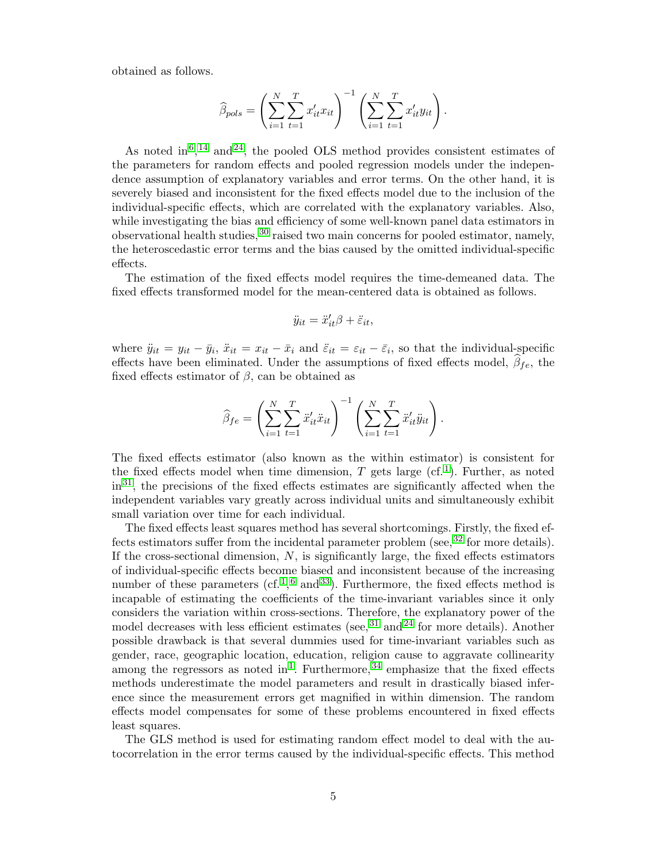obtained as follows.

$$
\widehat{\beta}_{pols} = \left( \sum_{i=1}^{N} \sum_{t=1}^{T} x'_{it} x_{it} \right)^{-1} \left( \sum_{i=1}^{N} \sum_{t=1}^{T} x'_{it} y_{it} \right).
$$

As noted in<sup>[6](#page-14-5)</sup>,<sup>[14](#page-15-1)</sup> and<sup>[24](#page-15-11)</sup>, the pooled OLS method provides consistent estimates of the parameters for random effects and pooled regression models under the independence assumption of explanatory variables and error terms. On the other hand, it is severely biased and inconsistent for the fixed effects model due to the inclusion of the individual-specific effects, which are correlated with the explanatory variables. Also, while investigating the bias and efficiency of some well-known panel data estimators in observational health studies,  $30$  raised two main concerns for pooled estimator, namely, the heteroscedastic error terms and the bias caused by the omitted individual-specific effects.

The estimation of the fixed effects model requires the time-demeaned data. The fixed effects transformed model for the mean-centered data is obtained as follows.

$$
\ddot{y}_{it} = \ddot{x}'_{it}\beta + \ddot{\varepsilon}_{it},
$$

where  $\ddot{y}_{it} = y_{it} - \bar{y}_i$ ,  $\ddot{x}_{it} = x_{it} - \bar{x}_i$  and  $\ddot{\varepsilon}_{it} = \varepsilon_{it} - \bar{\varepsilon}_i$ , so that the individual-specific effects have been eliminated. Under the assumptions of fixed effects model,  $\beta_{fe}$ , the fixed effects estimator of  $\beta$ , can be obtained as

$$
\widehat{\beta}_{fe} = \left(\sum_{i=1}^{N} \sum_{t=1}^{T} \ddot{x}'_{it} \ddot{x}_{it}\right)^{-1} \left(\sum_{i=1}^{N} \sum_{t=1}^{T} \ddot{x}'_{it} \ddot{y}_{it}\right).
$$

The fixed effects estimator (also known as the within estimator) is consistent for the fixed effects model when time dimension, T gets large  $(cf.1)$  $(cf.1)$  $(cf.1)$ . Further, as noted in[31](#page-15-18), the precisions of the fixed effects estimates are significantly affected when the independent variables vary greatly across individual units and simultaneously exhibit small variation over time for each individual.

The fixed effects least squares method has several shortcomings. Firstly, the fixed effects estimators suffer from the incidental parameter problem (see,  $32$  for more details). If the cross-sectional dimension,  $N$ , is significantly large, the fixed effects estimators of individual-specific effects become biased and inconsistent because of the increasing number of these parameters (cf.<sup>[1](#page-14-0)</sup>,<sup>[6](#page-14-5)</sup> and<sup>[33](#page-15-20)</sup>). Furthermore, the fixed effects method is incapable of estimating the coefficients of the time-invariant variables since it only considers the variation within cross-sections. Therefore, the explanatory power of the model decreases with less efficient estimates (see,  $31$  and  $24$  for more details). Another possible drawback is that several dummies used for time-invariant variables such as gender, race, geographic location, education, religion cause to aggravate collinearity among the regressors as noted in<sup>[1](#page-14-0)</sup>. Furthermore,  $34$  emphasize that the fixed effects methods underestimate the model parameters and result in drastically biased inference since the measurement errors get magnified in within dimension. The random effects model compensates for some of these problems encountered in fixed effects least squares.

The GLS method is used for estimating random effect model to deal with the autocorrelation in the error terms caused by the individual-specific effects. This method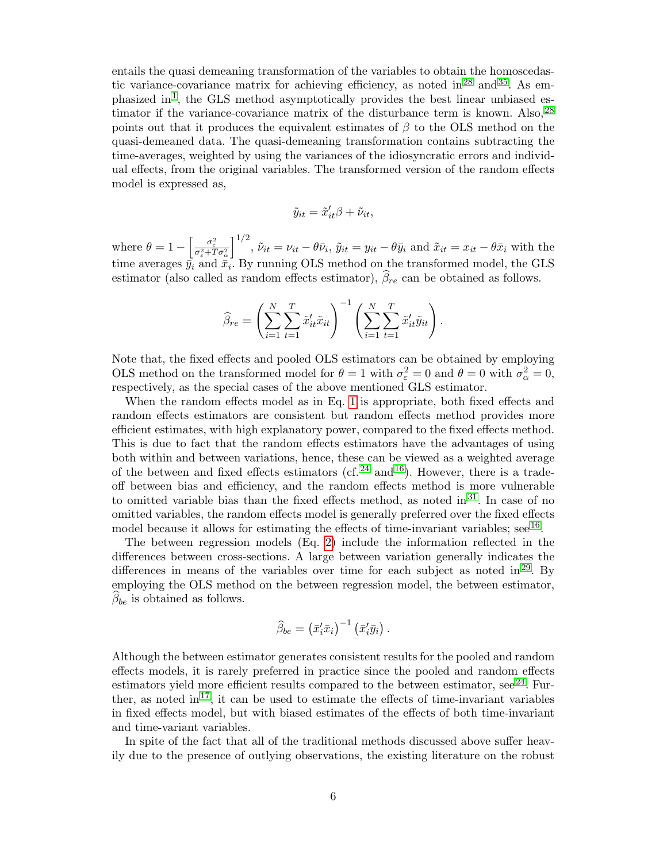entails the quasi demeaning transformation of the variables to obtain the homoscedas-tic variance-covariance matrix for achieving efficiency, as noted in<sup>[28](#page-15-15)</sup> and<sup>[35](#page-15-22)</sup>. As em-phasized in<sup>[1](#page-14-0)</sup>, the GLS method asymptotically provides the best linear unbiased estimator if the variance-covariance matrix of the disturbance term is known. Also,  $^{28}$  $^{28}$  $^{28}$ points out that it produces the equivalent estimates of  $\beta$  to the OLS method on the quasi-demeaned data. The quasi-demeaning transformation contains subtracting the time-averages, weighted by using the variances of the idiosyncratic errors and individual effects, from the original variables. The transformed version of the random effects model is expressed as,

$$
\tilde{y}_{it} = \tilde{x}_{it}'\beta + \tilde{\nu}_{it},
$$

where  $\theta = 1 - \left[\frac{\sigma_{\varepsilon}^2}{\sigma_{\varepsilon}^2 + T\sigma_{\alpha}^2}\right]$  $\int_0^{1/2}$ ,  $\tilde{\nu}_{it} = \nu_{it} - \theta \bar{\nu}_i$ ,  $\tilde{y}_{it} = y_{it} - \theta \bar{y}_i$  and  $\tilde{x}_{it} = x_{it} - \theta \bar{x}_i$  with the time averages  $\bar{y}_i$  and  $\bar{x}_i$ . By running OLS method on the transformed model, the GLS estimator (also called as random effects estimator),  $\beta_{re}$  can be obtained as follows.

$$
\widehat{\beta}_{re} = \left(\sum_{i=1}^{N} \sum_{t=1}^{T} \widetilde{x}_{it}' \widetilde{x}_{it}\right)^{-1} \left(\sum_{i=1}^{N} \sum_{t=1}^{T} \widetilde{x}_{it}' \widetilde{y}_{it}\right).
$$

Note that, the fixed effects and pooled OLS estimators can be obtained by employing OLS method on the transformed model for  $\theta = 1$  with  $\sigma_{\varepsilon}^2 = 0$  and  $\theta = 0$  with  $\sigma_{\alpha}^2 = 0$ , respectively, as the special cases of the above mentioned GLS estimator.

When the random effects model as in Eq. [1](#page-3-1) is appropriate, both fixed effects and random effects estimators are consistent but random effects method provides more efficient estimates, with high explanatory power, compared to the fixed effects method. This is due to fact that the random effects estimators have the advantages of using both within and between variations, hence, these can be viewed as a weighted average of the between and fixed effects estimators (cf.  $^{24}$  $^{24}$  $^{24}$  and  $^{16}$  $^{16}$  $^{16}$ ). However, there is a tradeoff between bias and efficiency, and the random effects method is more vulnerable to omitted variable bias than the fixed effects method, as noted in  $31$ . In case of no omitted variables, the random effects model is generally preferred over the fixed effects model because it allows for estimating the effects of time-invariant variables; see  $^{16}$  $^{16}$  $^{16}$ .

The between regression models (Eq. [2\)](#page-3-2) include the information reflected in the differences between cross-sections. A large between variation generally indicates the differences in means of the variables over time for each subject as noted in<sup>[29](#page-15-16)</sup>. By employing the OLS method on the between regression model, the between estimator,  $\beta_{be}$  is obtained as follows.

$$
\widehat{\beta}_{be}=\left(\bar{x}_i'\bar{x}_i\right)^{-1}\left(\bar{x}_i'\bar{y}_i\right).
$$

Although the between estimator generates consistent results for the pooled and random effects models, it is rarely preferred in practice since the pooled and random effects estimators yield more efficient results compared to the between estimator, see  $^{24}$  $^{24}$  $^{24}$ . Fur-ther, as noted in<sup>[17](#page-15-4)</sup>, it can be used to estimate the effects of time-invariant variables in fixed effects model, but with biased estimates of the effects of both time-invariant and time-variant variables.

In spite of the fact that all of the traditional methods discussed above suffer heavily due to the presence of outlying observations, the existing literature on the robust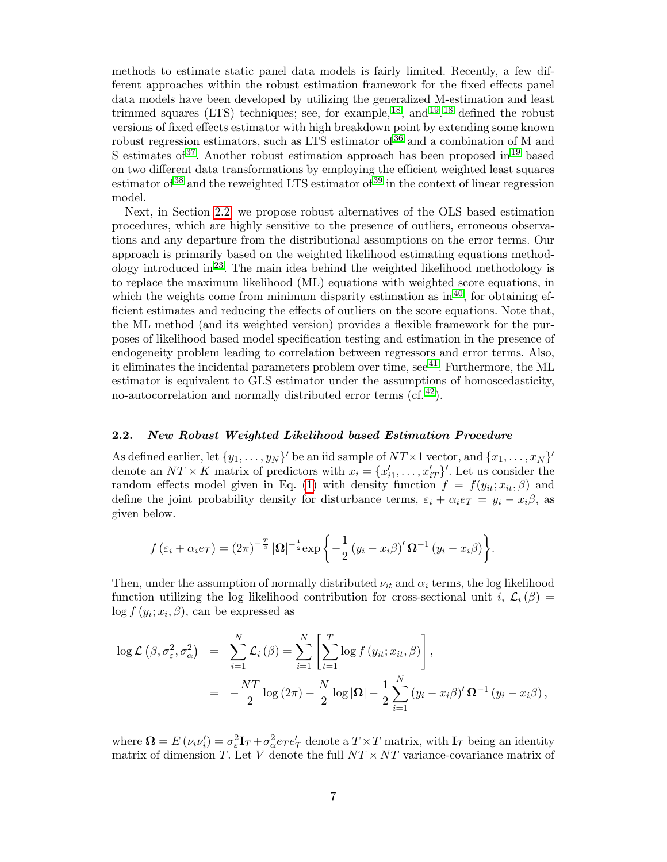methods to estimate static panel data models is fairly limited. Recently, a few different approaches within the robust estimation framework for the fixed effects panel data models have been developed by utilizing the generalized M-estimation and least trimmed squares (LTS) techniques; see, for example,  $^{18}$  $^{18}$  $^{18}$ , and  $^{19}$  $^{19}$  $^{19}$ ,  $^{18}$  defined the robust versions of fixed effects estimator with high breakdown point by extending some known robust regression estimators, such as LTS estimator of [36](#page-16-0) and a combination of M and S estimates of  $37$ . Another robust estimation approach has been proposed in  $19$  based on two different data transformations by employing the efficient weighted least squares estimator of  $38$  and the reweighted LTS estimator of  $39$  in the context of linear regression model.

Next, in Section [2.2,](#page-6-0) we propose robust alternatives of the OLS based estimation procedures, which are highly sensitive to the presence of outliers, erroneous observations and any departure from the distributional assumptions on the error terms. Our approach is primarily based on the weighted likelihood estimating equations method-ology introduced in<sup>[23](#page-15-10)</sup>. The main idea behind the weighted likelihood methodology is to replace the maximum likelihood (ML) equations with weighted score equations, in which the weights come from minimum disparity estimation as  $\sin^{40}$  $\sin^{40}$  $\sin^{40}$ , for obtaining efficient estimates and reducing the effects of outliers on the score equations. Note that, the ML method (and its weighted version) provides a flexible framework for the purposes of likelihood based model specification testing and estimation in the presence of endogeneity problem leading to correlation between regressors and error terms. Also, it eliminates the incidental parameters problem over time, see  $^{41}$  $^{41}$  $^{41}$ . Furthermore, the ML estimator is equivalent to GLS estimator under the assumptions of homoscedasticity, no-autocorrelation and normally distributed error terms (cf. [42](#page-16-6)).

## <span id="page-6-0"></span>2.2. New Robust Weighted Likelihood based Estimation Procedure

As defined earlier, let  $\{y_1, \ldots, y_N\}'$  be an iid sample of  $NT \times 1$  vector, and  $\{x_1, \ldots, x_N\}'$ denote an  $NT \times K$  matrix of predictors with  $x_i = \{x'_{i1}, \ldots, x'_{iT}\}'$ . Let us consider the random effects model given in Eq. [\(1\)](#page-3-1) with density function  $f = f(y_{it}; x_{it}, \beta)$  and define the joint probability density for disturbance terms,  $\varepsilon_i + \alpha_i e_T = y_i - x_i \beta$ , as given below.

$$
f(\varepsilon_i + \alpha_i e_T) = (2\pi)^{-\frac{T}{2}} |\mathbf{\Omega}|^{-\frac{1}{2}} \exp \left\{-\frac{1}{2}(y_i - x_i\beta)' \mathbf{\Omega}^{-1} (y_i - x_i\beta) \right\}.
$$

Then, under the assumption of normally distributed  $\nu_{it}$  and  $\alpha_i$  terms, the log likelihood function utilizing the log likelihood contribution for cross-sectional unit i,  $\mathcal{L}_i(\beta)$  =  $log f(y_i; x_i, \beta)$ , can be expressed as

$$
\log \mathcal{L}(\beta, \sigma_{\varepsilon}^{2}, \sigma_{\alpha}^{2}) = \sum_{i=1}^{N} \mathcal{L}_{i}(\beta) = \sum_{i=1}^{N} \left[ \sum_{t=1}^{T} \log f(y_{it}; x_{it}, \beta) \right],
$$
  
= 
$$
-\frac{NT}{2} \log (2\pi) - \frac{N}{2} \log |\Omega| - \frac{1}{2} \sum_{i=1}^{N} (y_{i} - x_{i}\beta)' \Omega^{-1} (y_{i} - x_{i}\beta),
$$

where  $\mathbf{\Omega} = E(\nu_i \nu_i') = \sigma_\varepsilon^2 \mathbf{I}_T + \sigma_\alpha^2 e_T e_T'$  denote a  $T \times T$  matrix, with  $\mathbf{I}_T$  being an identity matrix of dimension T. Let V denote the full  $NT \times NT$  variance-covariance matrix of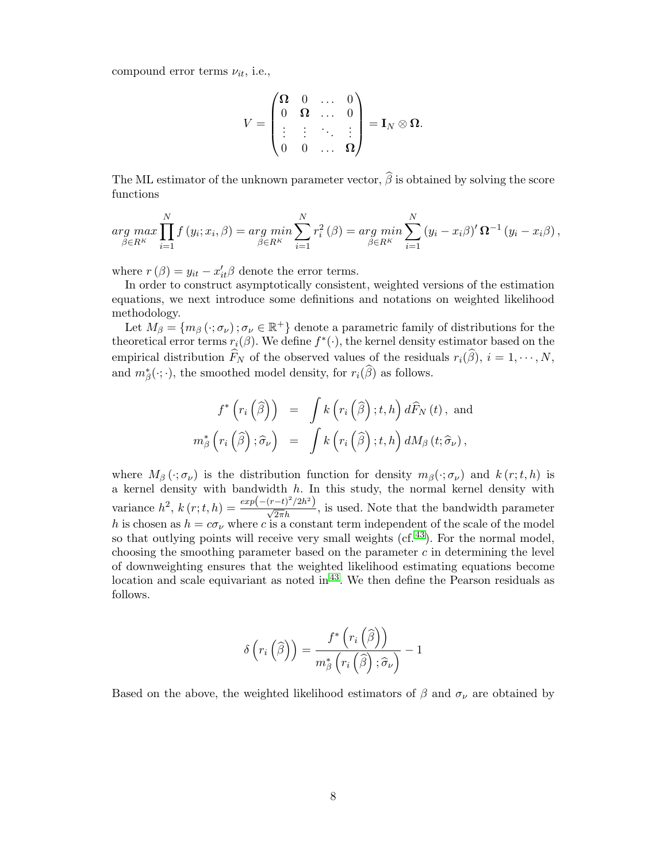compound error terms  $\nu_{it}$ , i.e.,

$$
V = \begin{pmatrix} \mathbf{\Omega} & 0 & \dots & 0 \\ 0 & \mathbf{\Omega} & \dots & 0 \\ \vdots & \vdots & \ddots & \vdots \\ 0 & 0 & \dots & \mathbf{\Omega} \end{pmatrix} = \mathbf{I}_N \otimes \mathbf{\Omega}.
$$

The ML estimator of the unknown parameter vector,  $\widehat{\beta}$  is obtained by solving the score functions

$$
\arg \max_{\beta \in R^K} \prod_{i=1}^N f(y_i; x_i, \beta) = \arg \min_{\beta \in R^K} \sum_{i=1}^N r_i^2(\beta) = \arg \min_{\beta \in R^K} \sum_{i=1}^N (y_i - x_i \beta)' \Omega^{-1}(y_i - x_i \beta),
$$

where  $r(\beta) = y_{it} - x'_{it}\beta$  denote the error terms.

In order to construct asymptotically consistent, weighted versions of the estimation equations, we next introduce some definitions and notations on weighted likelihood methodology.

Let  $M_\beta = \{m_\beta(\cdot;\sigma_\nu)\;\;:\;\sigma_\nu\in\mathbb{R}^+\}\;$  denote a parametric family of distributions for the theoretical error terms  $r_i(\beta)$ . We define  $f^*(\cdot)$ , the kernel density estimator based on the empirical distribution  $\widehat{F}_N$  of the observed values of the residuals  $r_i(\widehat{\beta}), i = 1, \cdots, N$ , and  $m^*_{\beta}(\cdot;\cdot)$ , the smoothed model density, for  $r_i(\widehat{\beta})$  as follows.

<span id="page-7-0"></span>
$$
f^*\left(r_i\left(\widehat{\beta}\right)\right) = \int k\left(r_i\left(\widehat{\beta}\right);t,h\right)d\widehat{F}_N\left(t\right), \text{ and}
$$

$$
m_{\beta}^*\left(r_i\left(\widehat{\beta}\right);\widehat{\sigma}_{\nu}\right) = \int k\left(r_i\left(\widehat{\beta}\right);t,h\right)dM_{\beta}\left(t;\widehat{\sigma}_{\nu}\right),
$$

where  $M_\beta(\cdot;\sigma_\nu)$  is the distribution function for density  $m_\beta(\cdot;\sigma_\nu)$  and  $k(r;t,h)$  is a kernel density with bandwidth  $h$ . In this study, the normal kernel density with variance  $h^2$ ,  $k(r;t,h) = \frac{exp(-(r-t)^2/2h^2)}{\sqrt{2\pi}h}$ , is used. Note that the bandwidth parameter h is chosen as  $h = c\sigma_{\nu}$  where c is a constant term independent of the scale of the model so that outlying points will receive very small weights  $(cf. <sup>43</sup>)$  $(cf. <sup>43</sup>)$  $(cf. <sup>43</sup>)$ . For the normal model, choosing the smoothing parameter based on the parameter  $c$  in determining the level of downweighting ensures that the weighted likelihood estimating equations become location and scale equivariant as noted in  $43$ . We then define the Pearson residuals as follows.

$$
\delta\left(r_i\left(\widehat{\beta}\right)\right) = \frac{f^*\left(r_i\left(\widehat{\beta}\right)\right)}{m_{\beta}^*\left(r_i\left(\widehat{\beta}\right); \widehat{\sigma}_{\nu}\right)} - 1
$$

Based on the above, the weighted likelihood estimators of  $\beta$  and  $\sigma_{\nu}$  are obtained by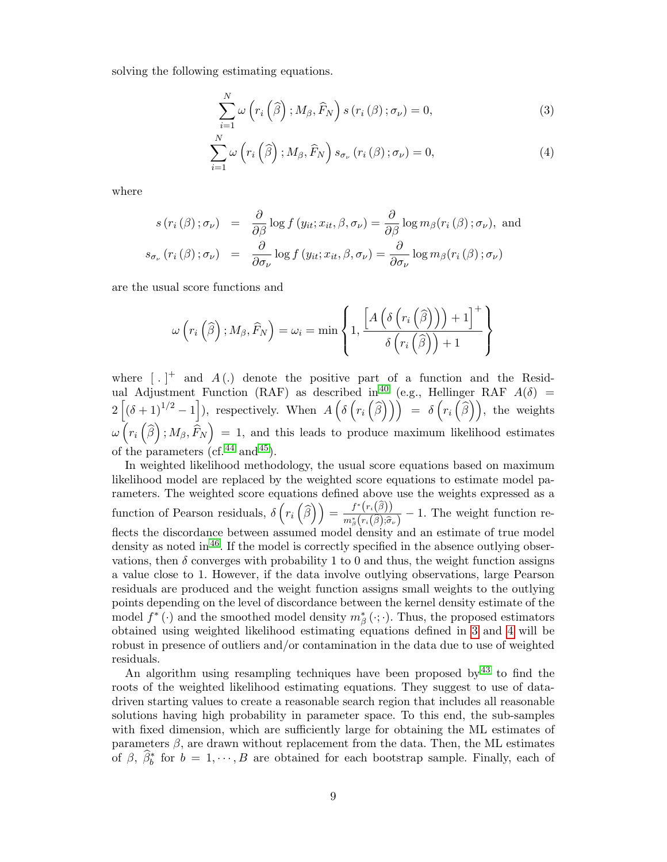solving the following estimating equations.

$$
\sum_{i=1}^{N} \omega \left( r_i \left( \widehat{\beta} \right); M_{\beta}, \widehat{F}_N \right) s \left( r_i \left( \beta \right); \sigma_{\nu} \right) = 0, \tag{3}
$$

$$
\sum_{i=1}^{N} \omega\left(r_i\left(\widehat{\beta}\right); M_{\beta}, \widehat{F}_N\right) s_{\sigma_{\nu}}\left(r_i\left(\beta\right); \sigma_{\nu}\right) = 0, \tag{4}
$$

where

$$
s(r_i(\beta); \sigma_{\nu}) = \frac{\partial}{\partial \beta} \log f(y_{it}; x_{it}, \beta, \sigma_{\nu}) = \frac{\partial}{\partial \beta} \log m_{\beta}(r_i(\beta); \sigma_{\nu}), \text{ and}
$$

$$
s_{\sigma_{\nu}}(r_i(\beta); \sigma_{\nu}) = \frac{\partial}{\partial \sigma_{\nu}} \log f(y_{it}; x_{it}, \beta, \sigma_{\nu}) = \frac{\partial}{\partial \sigma_{\nu}} \log m_{\beta}(r_i(\beta); \sigma_{\nu})
$$

are the usual score functions and

$$
\omega\left(r_i\left(\widehat{\beta}\right); M_{\beta}, \widehat{F}_N\right) = \omega_i = \min\left\{1, \frac{\left[A\left(\delta\left(r_i\left(\widehat{\beta}\right)\right)\right) + 1\right]^+}{\delta\left(r_i\left(\widehat{\beta}\right)\right) + 1}\right\}
$$

where  $\left[ . \right]^{+}$  and  $A(.)$  denote the positive part of a function and the Resid-ual Adjustment Function (RAF) as described in<sup>[40](#page-16-4)</sup> (e.g., Hellinger RAF  $A(\delta)$  =  $2\left[ (\delta+1)^{1/2}-1 \right]$ ), respectively. When  $A\left( \delta\left( r_i\left( \widehat{\beta} \right) \right) \right) = \delta\left( r_i\left( \widehat{\beta} \right) \right)$ , the weights  $\omega\left(r_i\left(\widehat{\beta}\right); M_\beta, \widehat{F}_N\right) \,=\, 1, \text{ and this leads to produce maximum likelihood estimates}$ of the parameters (cf.  $^{44}$  $^{44}$  $^{44}$  and  $^{45}$  $^{45}$  $^{45}$ ).

In weighted likelihood methodology, the usual score equations based on maximum likelihood model are replaced by the weighted score equations to estimate model parameters. The weighted score equations defined above use the weights expressed as a function of Pearson residuals,  $\delta\left(r_i\left(\widehat{\beta}\right)\right) = \frac{f^*(r_i(\widehat{\beta}))}{m^*_\beta(r_i(\widehat{\beta}))\widehat{\sigma}_i}$  $\frac{J^{(V_i(\beta))}}{m^*_{\beta}(r_i(\widehat{\beta});\widehat{\sigma}_\nu)}-1$ . The weight function reflects the discordance between assumed model density and an estimate of true model density as noted in  $46$ . If the model is correctly specified in the absence outlying observations, then  $\delta$  converges with probability 1 to 0 and thus, the weight function assigns a value close to 1. However, if the data involve outlying observations, large Pearson residuals are produced and the weight function assigns small weights to the outlying points depending on the level of discordance between the kernel density estimate of the model  $f^*(\cdot)$  and the smoothed model density  $m^*_{\beta}(\cdot;\cdot)$ . Thus, the proposed estimators obtained using weighted likelihood estimating equations defined in [3](#page-7-0) and [4](#page-7-0) will be robust in presence of outliers and/or contamination in the data due to use of weighted residuals.

An algorithm using resampling techniques have been proposed by [43](#page-16-7) to find the roots of the weighted likelihood estimating equations. They suggest to use of datadriven starting values to create a reasonable search region that includes all reasonable solutions having high probability in parameter space. To this end, the sub-samples with fixed dimension, which are sufficiently large for obtaining the ML estimates of parameters  $\beta$ , are drawn without replacement from the data. Then, the ML estimates of  $\beta$ ,  $\widehat{\beta}_b^*$  for  $b = 1, \dots, B$  are obtained for each bootstrap sample. Finally, each of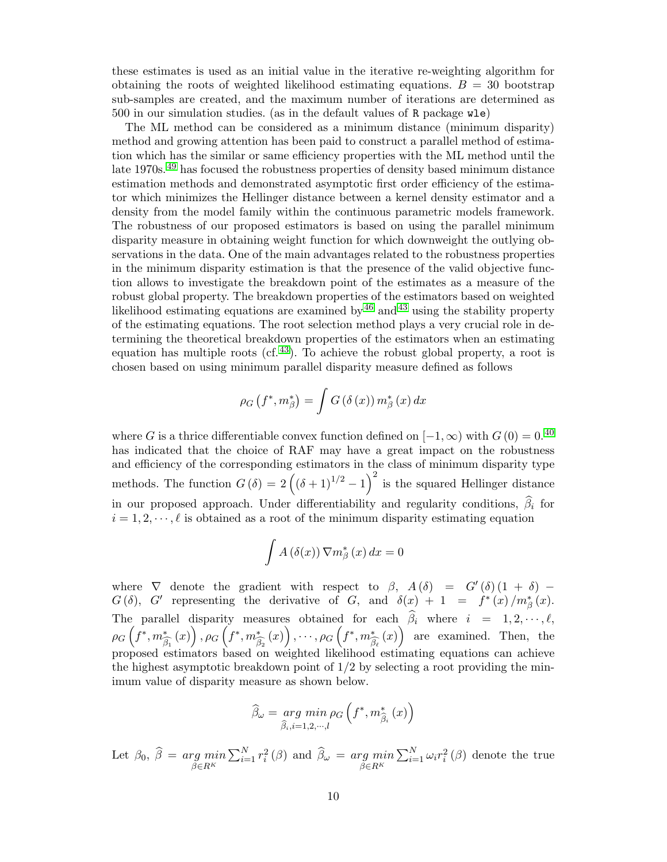these estimates is used as an initial value in the iterative re-weighting algorithm for obtaining the roots of weighted likelihood estimating equations.  $B = 30$  bootstrap sub-samples are created, and the maximum number of iterations are determined as 500 in our simulation studies. (as in the default values of R package wle)

The ML method can be considered as a minimum distance (minimum disparity) method and growing attention has been paid to construct a parallel method of estimation which has the similar or same efficiency properties with the ML method until the late 1970s.<sup>[49](#page-16-11)</sup> has focused the robustness properties of density based minimum distance estimation methods and demonstrated asymptotic first order efficiency of the estimator which minimizes the Hellinger distance between a kernel density estimator and a density from the model family within the continuous parametric models framework. The robustness of our proposed estimators is based on using the parallel minimum disparity measure in obtaining weight function for which downweight the outlying observations in the data. One of the main advantages related to the robustness properties in the minimum disparity estimation is that the presence of the valid objective function allows to investigate the breakdown point of the estimates as a measure of the robust global property. The breakdown properties of the estimators based on weighted likelihood estimating equations are examined by  $46$  and  $43$  using the stability property of the estimating equations. The root selection method plays a very crucial role in determining the theoretical breakdown properties of the estimators when an estimating equation has multiple roots (cf.  $43$ ). To achieve the robust global property, a root is chosen based on using minimum parallel disparity measure defined as follows

$$
\rho_G(f^*, m^*_{\beta}) = \int G(\delta(x)) m^*_{\beta}(x) dx
$$

where G is a thrice differentiable convex function defined on  $[-1, \infty)$  with  $G(0) = 0$ .<sup>[40](#page-16-4)</sup> has indicated that the choice of RAF may have a great impact on the robustness and efficiency of the corresponding estimators in the class of minimum disparity type methods. The function  $G(\delta) = 2((\delta+1)^{1/2}-1)^2$  is the squared Hellinger distance in our proposed approach. Under differentiability and regularity conditions,  $\hat{\beta}_i$  for  $i = 1, 2, \dots, \ell$  is obtained as a root of the minimum disparity estimating equation

$$
\int A(\delta(x)) \nabla m_{\beta}^{*}(x) dx = 0
$$

where  $\nabla$  denote the gradient with respect to  $\beta$ ,  $A(\delta) = G'(\delta)(1 + \delta)$  $G(\delta)$ ,  $G'$  representing the derivative of G, and  $\delta(x) + 1 = f^{*}(x)/m_{\beta}^{*}(x)$ . The parallel disparity measures obtained for each  $\beta_i$  where  $i = 1, 2, \dots, \ell$ ,  $\rho_G\left(f^*,m_{\widetilde{\beta}}^*\right)$  $\beta_1$  $(x)\big)$  ,  $\rho_G\left(f^*,m_{\tilde{e}}^*\right)$  $\beta_2$  $f(x)\Big\}\,, \cdots , \rho_G\left(f^*, m_{\widetilde{A}}^*\right)$  $\beta_{\ell}$  $(x)$  are examined. Then, the proposed estimators based on weighted likelihood estimating equations can achieve the highest asymptotic breakdown point of  $1/2$  by selecting a root providing the minimum value of disparity measure as shown below.

$$
\widehat{\beta}_{\omega} = \underset{\widehat{\beta}_{i}, i=1,2,\cdots,l}{arg \ min} \rho_{G} \left( f^{*}, m_{\widehat{\beta}_{i}}^{*} \left( x \right) \right)
$$

Let  $\beta_0$ ,  $\beta = \argmin_{\beta \in R^K}$  $\sum_{i=1}^{N} r_i^2 (\beta)$  and  $\widehat{\beta}_{\omega} = \underset{\beta \in R^K}{arg \ min}$  $\sum_{i=1}^{N} \omega_i r_i^2 (\beta)$  denote the true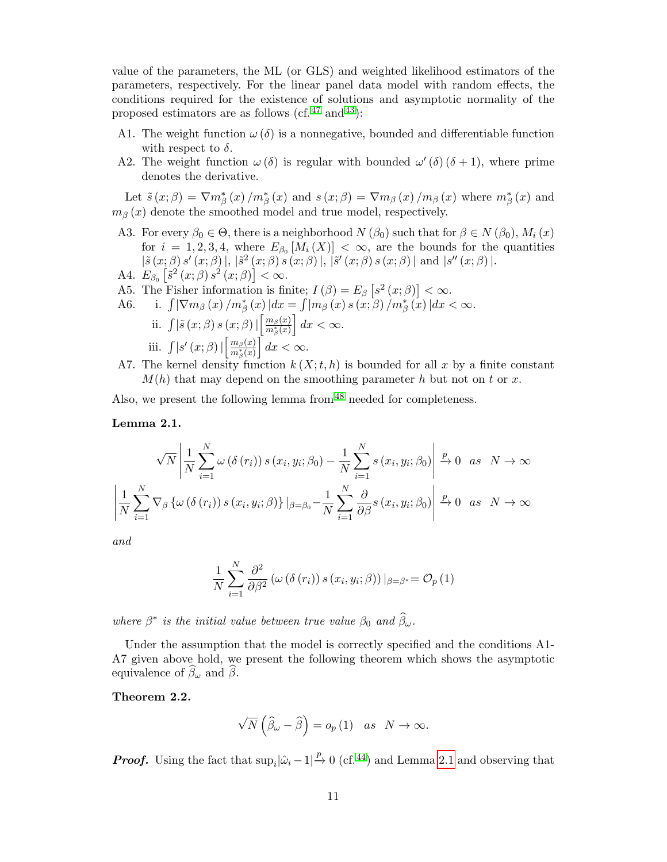value of the parameters, the ML (or GLS) and weighted likelihood estimators of the parameters, respectively. For the linear panel data model with random effects, the conditions required for the existence of solutions and asymptotic normality of the proposed estimators are as follows (cf.  $47$  and  $43$ ):

- A1. The weight function  $\omega(\delta)$  is a nonnegative, bounded and differentiable function with respect to  $\delta$ .
- A2. The weight function  $\omega(\delta)$  is regular with bounded  $\omega'(\delta)(\delta+1)$ , where prime denotes the derivative.

Let  $\tilde{s}(x;\beta) = \nabla m_{\beta}^{*}(x) / m_{\beta}^{*}(x)$  and  $s(x;\beta) = \nabla m_{\beta}(x) / m_{\beta}(x)$  where  $m_{\beta}^{*}(x)$  and  $m<sub>β</sub>(x)$  denote the smoothed model and true model, respectively.

- A3. For every  $\beta_0 \in \Theta$ , there is a neighborhood  $N(\beta_0)$  such that for  $\beta \in N(\beta_0)$ ,  $M_i(x)$ for  $i = 1, 2, 3, 4$ , where  $E_{\beta_0}[M_i(X)] < \infty$ , are the bounds for the quantities  $|\tilde{s}(x;\beta) s'(x;\beta)|, |\tilde{s}^{2}(x;\beta) s(x;\beta)|, |\tilde{s}'(x;\beta) s(x;\beta)|$  and  $|s''(x;\beta)|$ .
- A4.  $E_{\beta_0} \left[ \tilde{s}^2(x;\beta) s^2(x;\beta) \right] < \infty.$
- A5. The Fisher information is finite;  $I(\beta) = E_{\beta} [s^2(x;\beta)] < \infty$ .
- A6. i.  $\int \left| \nabla m_{\beta} (x) / m_{\beta}^{*} (x) \right| dx = \int \left| m_{\beta} (x) s (x; \beta) / m_{\beta}^{*} (x) \right| dx < \infty.$ ii.  $\int \left| \tilde{s}(x;\beta) s(x;\beta) \right| \left[ \frac{m_{\beta}(x)}{m^*(x)} \right]$  $\frac{m_\beta(x)}{m^*_\beta(x)}\Big]\,dx < \infty.$ iii.  $\int |s'(x;\beta)| \left[\frac{m_\beta(x)}{m^*(x)}\right]$  $\frac{m_\beta(x)}{m^*_\beta(x)}\Big]\,dx < \infty.$
- A7. The kernel density function  $k(X; t, h)$  is bounded for all x by a finite constant  $M(h)$  that may depend on the smoothing parameter h but not on t or x.

Also, we present the following lemma from  $48$  needed for completeness.

### <span id="page-10-0"></span>Lemma 2.1.

$$
\sqrt{N} \left| \frac{1}{N} \sum_{i=1}^{N} \omega(\delta(r_i)) s(r_i, y_i; \beta_0) - \frac{1}{N} \sum_{i=1}^{N} s(r_i, y_i; \beta_0) \right| \xrightarrow{p} 0 \text{ as } N \to \infty
$$
  

$$
\left| \frac{1}{N} \sum_{i=1}^{N} \nabla_{\beta} \left\{ \omega(\delta(r_i)) s(r_i, y_i; \beta) \right\} \middle|_{\beta = \beta_0} - \frac{1}{N} \sum_{i=1}^{N} \frac{\partial}{\partial \beta} s(r_i, y_i; \beta_0) \right| \xrightarrow{p} 0 \text{ as } N \to \infty
$$

and

$$
\frac{1}{N} \sum_{i=1}^{N} \frac{\partial^2}{\partial \beta^2} \left( \omega \left( \delta \left( r_i \right) \right) s \left( x_i, y_i; \beta \right) \right) \vert_{\beta = \beta^*} = \mathcal{O}_p \left( 1 \right)
$$

where  $\beta^*$  is the initial value between true value  $\beta_0$  and  $\widehat{\beta}_\omega$ .

Under the assumption that the model is correctly specified and the conditions A1- A7 given above hold, we present the following theorem which shows the asymptotic equivalence of  $\widehat{\beta}_{\omega}$  and  $\widehat{\beta}$ .

<span id="page-10-1"></span>Theorem 2.2.

$$
\sqrt{N}\left(\widehat{\beta}_\omega - \widehat{\beta}\right) = o_p\left(1\right) \quad as \quad N \to \infty.
$$

**Proof.** Using the fact that  $\sup_i |\hat{\omega}_i - 1| \stackrel{p}{\to} 0$  (cf. <sup>[44](#page-16-8)</sup>) and Lemma [2.1](#page-10-0) and observing that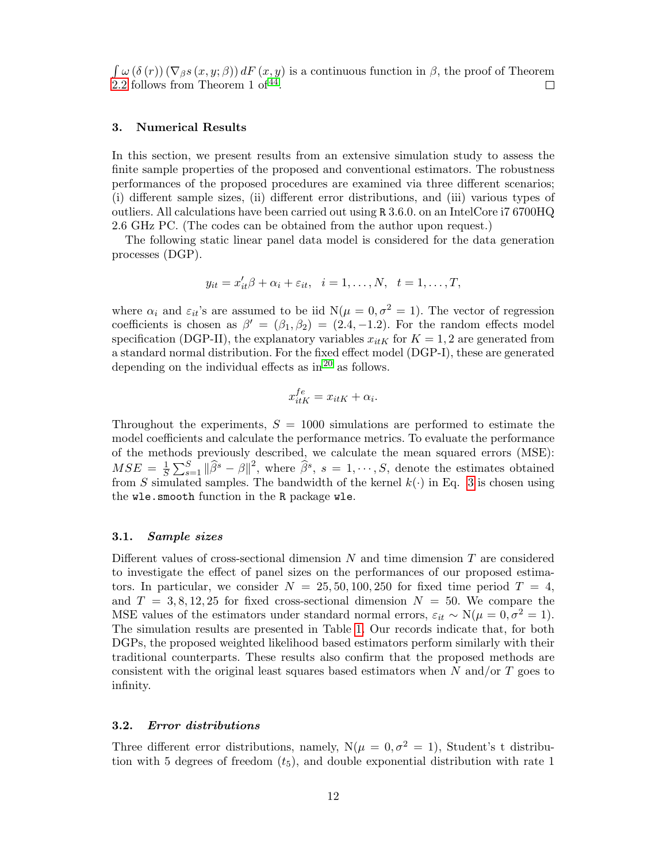$\int \omega(\delta(r)) (\nabla_{\beta} s(x, y; \beta)) dF(x, y)$  is a continuous function in  $\beta$ , the proof of Theorem [2.2](#page-10-1) follows from Theorem 1 of  $44$ .  $\Box$ 

### <span id="page-11-0"></span>3. Numerical Results

In this section, we present results from an extensive simulation study to assess the finite sample properties of the proposed and conventional estimators. The robustness performances of the proposed procedures are examined via three different scenarios; (i) different sample sizes, (ii) different error distributions, and (iii) various types of outliers. All calculations have been carried out using R 3.6.0. on an IntelCore i7 6700HQ 2.6 GHz PC. (The codes can be obtained from the author upon request.)

The following static linear panel data model is considered for the data generation processes (DGP).

$$
y_{it} = x_{it}'\beta + \alpha_i + \varepsilon_{it}, \quad i = 1, \dots, N, \quad t = 1, \dots, T,
$$

where  $\alpha_i$  and  $\varepsilon_{it}$ 's are assumed to be iid  $N(\mu = 0, \sigma^2 = 1)$ . The vector of regression coefficients is chosen as  $\beta' = (\beta_1, \beta_2) = (2.4, -1.2)$ . For the random effects model specification (DGP-II), the explanatory variables  $x_{itK}$  for  $K = 1, 2$  are generated from a standard normal distribution. For the fixed effect model (DGP-I), these are generated depending on the individual effects as in  $20$  as follows.

$$
x_{itK}^{fe} = x_{itK} + \alpha_i.
$$

Throughout the experiments,  $S = 1000$  simulations are performed to estimate the model coefficients and calculate the performance metrics. To evaluate the performance of the methods previously described, we calculate the mean squared errors (MSE):  $MSE = \frac{1}{5}$  $\frac{1}{S}\sum_{s=1}^{S} \|\widehat{\beta}^s - \beta\|^2$ , where  $\widehat{\beta}^s$ ,  $s = 1, \dots, S$ , denote the estimates obtained from S simulated samples. The bandwidth of the kernel  $k(\cdot)$  in Eq. [3](#page-7-0) is chosen using the wle.smooth function in the R package wle.

## 3.1. Sample sizes

Different values of cross-sectional dimension N and time dimension T are considered to investigate the effect of panel sizes on the performances of our proposed estimators. In particular, we consider  $N = 25, 50, 100, 250$  for fixed time period  $T = 4$ , and  $T = 3, 8, 12, 25$  for fixed cross-sectional dimension  $N = 50$ . We compare the MSE values of the estimators under standard normal errors,  $\varepsilon_{it} \sim N(\mu = 0, \sigma^2 = 1)$ . The simulation results are presented in Table [1.](#page-17-0) Our records indicate that, for both DGPs, the proposed weighted likelihood based estimators perform similarly with their traditional counterparts. These results also confirm that the proposed methods are consistent with the original least squares based estimators when  $N$  and/or  $T$  goes to infinity.

## 3.2. Error distributions

Three different error distributions, namely,  $N(\mu = 0, \sigma^2 = 1)$ , Student's t distribution with 5 degrees of freedom  $(t_5)$ , and double exponential distribution with rate 1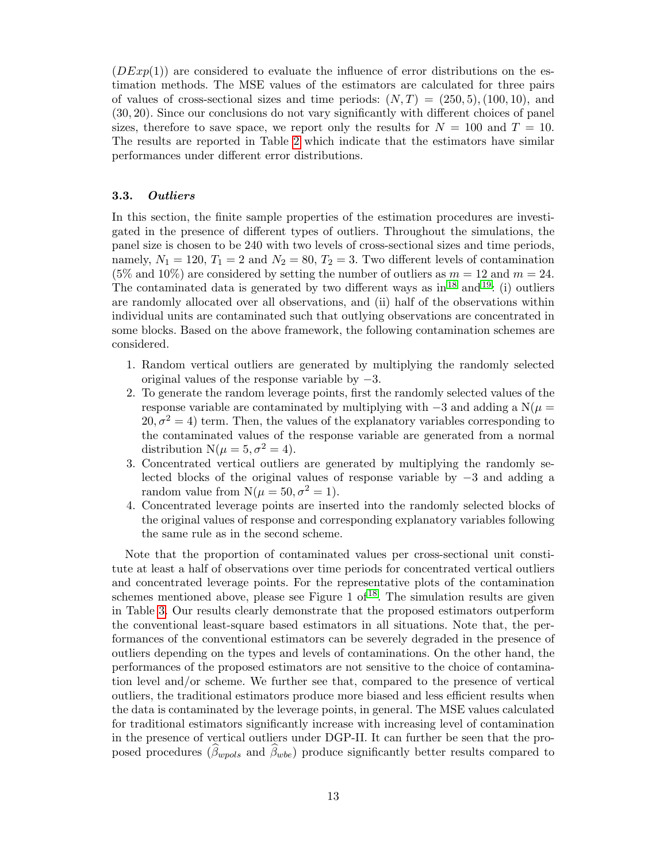$(DEFed{DExp}(1))$  are considered to evaluate the influence of error distributions on the estimation methods. The MSE values of the estimators are calculated for three pairs of values of cross-sectional sizes and time periods:  $(N, T) = (250, 5), (100, 10),$  and (30, 20). Since our conclusions do not vary significantly with different choices of panel sizes, therefore to save space, we report only the results for  $N = 100$  and  $T = 10$ . The results are reported in Table [2](#page-17-1) which indicate that the estimators have similar performances under different error distributions.

### 3.3. Outliers

In this section, the finite sample properties of the estimation procedures are investigated in the presence of different types of outliers. Throughout the simulations, the panel size is chosen to be 240 with two levels of cross-sectional sizes and time periods, namely,  $N_1 = 120$ ,  $T_1 = 2$  and  $N_2 = 80$ ,  $T_2 = 3$ . Two different levels of contamination (5% and 10%) are considered by setting the number of outliers as  $m = 12$  and  $m = 24$ . The contaminated data is generated by two different ways as in  $^{18}$  $^{18}$  $^{18}$  and  $^{19}$  $^{19}$  $^{19}$ : (i) outliers are randomly allocated over all observations, and (ii) half of the observations within individual units are contaminated such that outlying observations are concentrated in some blocks. Based on the above framework, the following contamination schemes are considered.

- 1. Random vertical outliers are generated by multiplying the randomly selected original values of the response variable by −3.
- 2. To generate the random leverage points, first the randomly selected values of the response variable are contaminated by multiplying with  $-3$  and adding a N( $\mu$  =  $20, \sigma^2 = 4$ ) term. Then, the values of the explanatory variables corresponding to the contaminated values of the response variable are generated from a normal distribution  $N(\mu = 5, \sigma^2 = 4)$ .
- 3. Concentrated vertical outliers are generated by multiplying the randomly selected blocks of the original values of response variable by −3 and adding a random value from  $N(\mu = 50, \sigma^2 = 1)$ .
- 4. Concentrated leverage points are inserted into the randomly selected blocks of the original values of response and corresponding explanatory variables following the same rule as in the second scheme.

Note that the proportion of contaminated values per cross-sectional unit constitute at least a half of observations over time periods for concentrated vertical outliers and concentrated leverage points. For the representative plots of the contamination schemes mentioned above, please see Figure 1 of  $1<sup>8</sup>$ . The simulation results are given in Table [3.](#page-18-0) Our results clearly demonstrate that the proposed estimators outperform the conventional least-square based estimators in all situations. Note that, the performances of the conventional estimators can be severely degraded in the presence of outliers depending on the types and levels of contaminations. On the other hand, the performances of the proposed estimators are not sensitive to the choice of contamination level and/or scheme. We further see that, compared to the presence of vertical outliers, the traditional estimators produce more biased and less efficient results when the data is contaminated by the leverage points, in general. The MSE values calculated for traditional estimators significantly increase with increasing level of contamination in the presence of vertical outliers under DGP-II. It can further be seen that the proposed procedures ( $\beta_{\text{wpols}}$  and  $\beta_{\text{wbe}}$ ) produce significantly better results compared to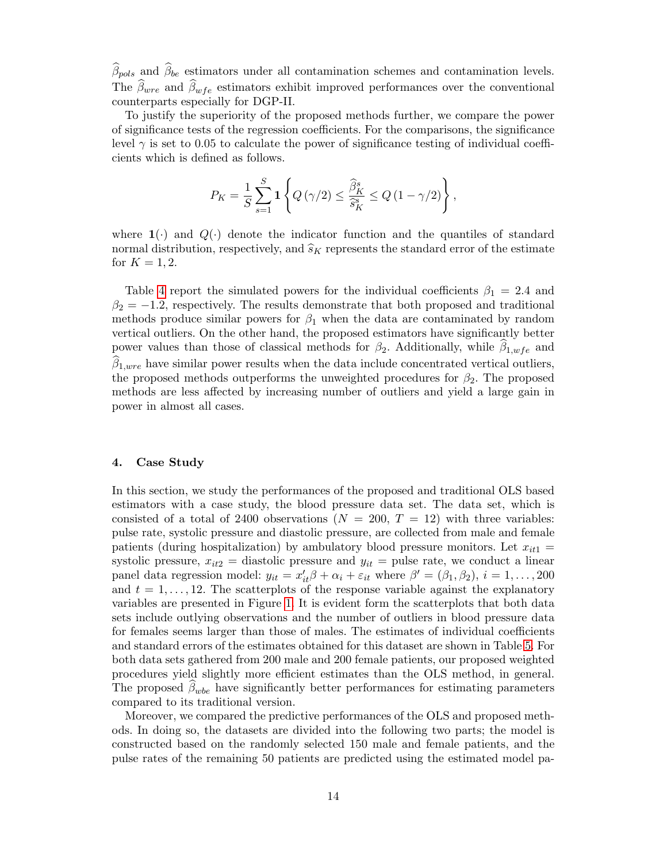$\beta_{pols}$  and  $\beta_{be}$  estimators under all contamination schemes and contamination levels. The  $\beta_{wre}$  and  $\beta_{wfe}$  estimators exhibit improved performances over the conventional counterparts especially for DGP-II.

To justify the superiority of the proposed methods further, we compare the power of significance tests of the regression coefficients. For the comparisons, the significance level  $\gamma$  is set to 0.05 to calculate the power of significance testing of individual coefficients which is defined as follows.

$$
P_K = \frac{1}{S} \sum_{s=1}^{S} \mathbf{1} \left\{ Q\left(\gamma/2\right) \le \frac{\widehat{\beta}_K^s}{\widehat{s}_K^s} \le Q\left(1 - \gamma/2\right) \right\},\,
$$

where  $\mathbf{1}(\cdot)$  and  $Q(\cdot)$  denote the indicator function and the quantiles of standard normal distribution, respectively, and  $\hat{s}_K$  represents the standard error of the estimate for  $K = 1, 2$ .

Table [4](#page-19-0) report the simulated powers for the individual coefficients  $\beta_1 = 2.4$  and  $\beta_2 = -1.2$ , respectively. The results demonstrate that both proposed and traditional methods produce similar powers for  $\beta_1$  when the data are contaminated by random vertical outliers. On the other hand, the proposed estimators have significantly better power values than those of classical methods for  $\beta_2$ . Additionally, while  $\beta_{1,wfe}$  and  $\beta_{1, wire}$  have similar power results when the data include concentrated vertical outliers, the proposed methods outperforms the unweighted procedures for  $\beta_2$ . The proposed methods are less affected by increasing number of outliers and yield a large gain in power in almost all cases.

### <span id="page-13-0"></span>4. Case Study

In this section, we study the performances of the proposed and traditional OLS based estimators with a case study, the blood pressure data set. The data set, which is consisted of a total of 2400 observations  $(N = 200, T = 12)$  with three variables: pulse rate, systolic pressure and diastolic pressure, are collected from male and female patients (during hospitalization) by ambulatory blood pressure monitors. Let  $x_{it1}$  = systolic pressure,  $x_{it2}$  = diastolic pressure and  $y_{it}$  = pulse rate, we conduct a linear panel data regression model:  $y_{it} = x'_{it}\beta + \alpha_i + \varepsilon_{it}$  where  $\beta' = (\beta_1, \beta_2), i = 1, ..., 200$ and  $t = 1, \ldots, 12$ . The scatterplots of the response variable against the explanatory variables are presented in Figure [1.](#page-21-0) It is evident form the scatterplots that both data sets include outlying observations and the number of outliers in blood pressure data for females seems larger than those of males. The estimates of individual coefficients and standard errors of the estimates obtained for this dataset are shown in Table [5.](#page-20-0) For both data sets gathered from 200 male and 200 female patients, our proposed weighted procedures yield slightly more efficient estimates than the OLS method, in general. The proposed  $\beta_{wbe}$  have significantly better performances for estimating parameters compared to its traditional version.

Moreover, we compared the predictive performances of the OLS and proposed methods. In doing so, the datasets are divided into the following two parts; the model is constructed based on the randomly selected 150 male and female patients, and the pulse rates of the remaining 50 patients are predicted using the estimated model pa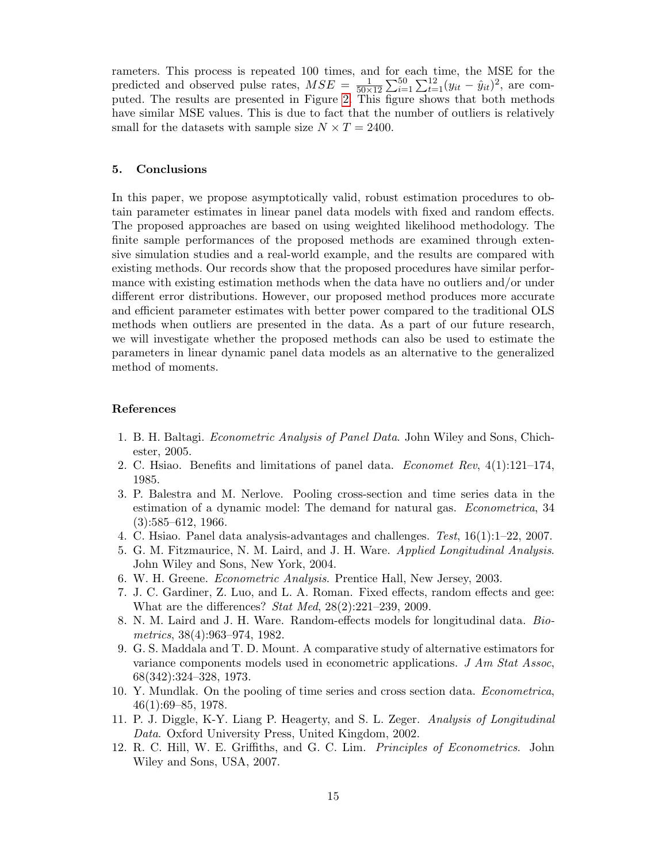rameters. This process is repeated 100 times, and for each time, the MSE for the predicted and observed pulse rates,  $MSE = \frac{1}{50 \times 12} \sum_{i=1}^{50} \sum_{t=1}^{12} (y_{it} - \hat{y}_{it})^2$ , are computed. The results are presented in Figure [2.](#page-22-0) This figure shows that both methods have similar MSE values. This is due to fact that the number of outliers is relatively small for the datasets with sample size  $N \times T = 2400$ .

### 5. Conclusions

In this paper, we propose asymptotically valid, robust estimation procedures to obtain parameter estimates in linear panel data models with fixed and random effects. The proposed approaches are based on using weighted likelihood methodology. The finite sample performances of the proposed methods are examined through extensive simulation studies and a real-world example, and the results are compared with existing methods. Our records show that the proposed procedures have similar performance with existing estimation methods when the data have no outliers and/or under different error distributions. However, our proposed method produces more accurate and efficient parameter estimates with better power compared to the traditional OLS methods when outliers are presented in the data. As a part of our future research, we will investigate whether the proposed methods can also be used to estimate the parameters in linear dynamic panel data models as an alternative to the generalized method of moments.

#### References

- <span id="page-14-0"></span>1. B. H. Baltagi. Econometric Analysis of Panel Data. John Wiley and Sons, Chichester, 2005.
- <span id="page-14-1"></span>2. C. Hsiao. Benefits and limitations of panel data. *Economet Rev*,  $4(1):121-174$ , 1985.
- <span id="page-14-2"></span>3. P. Balestra and M. Nerlove. Pooling cross-section and time series data in the estimation of a dynamic model: The demand for natural gas. Econometrica, 34  $(3):585-612, 1966.$
- <span id="page-14-3"></span>4. C. Hsiao. Panel data analysis-advantages and challenges. Test, 16(1):1–22, 2007.
- <span id="page-14-4"></span>5. G. M. Fitzmaurice, N. M. Laird, and J. H. Ware. Applied Longitudinal Analysis. John Wiley and Sons, New York, 2004.
- <span id="page-14-5"></span>6. W. H. Greene. Econometric Analysis. Prentice Hall, New Jersey, 2003.
- <span id="page-14-6"></span>7. J. C. Gardiner, Z. Luo, and L. A. Roman. Fixed effects, random effects and gee: What are the differences? Stat Med, 28(2):221–239, 2009.
- <span id="page-14-7"></span>8. N. M. Laird and J. H. Ware. Random-effects models for longitudinal data. Biometrics, 38(4):963–974, 1982.
- <span id="page-14-8"></span>9. G. S. Maddala and T. D. Mount. A comparative study of alternative estimators for variance components models used in econometric applications.  $J Am Stat Assoc$ , 68(342):324–328, 1973.
- <span id="page-14-9"></span>10. Y. Mundlak. On the pooling of time series and cross section data. Econometrica, 46(1):69–85, 1978.
- <span id="page-14-10"></span>11. P. J. Diggle, K-Y. Liang P. Heagerty, and S. L. Zeger. Analysis of Longitudinal Data. Oxford University Press, United Kingdom, 2002.
- <span id="page-14-11"></span>12. R. C. Hill, W. E. Griffiths, and G. C. Lim. Principles of Econometrics. John Wiley and Sons, USA, 2007.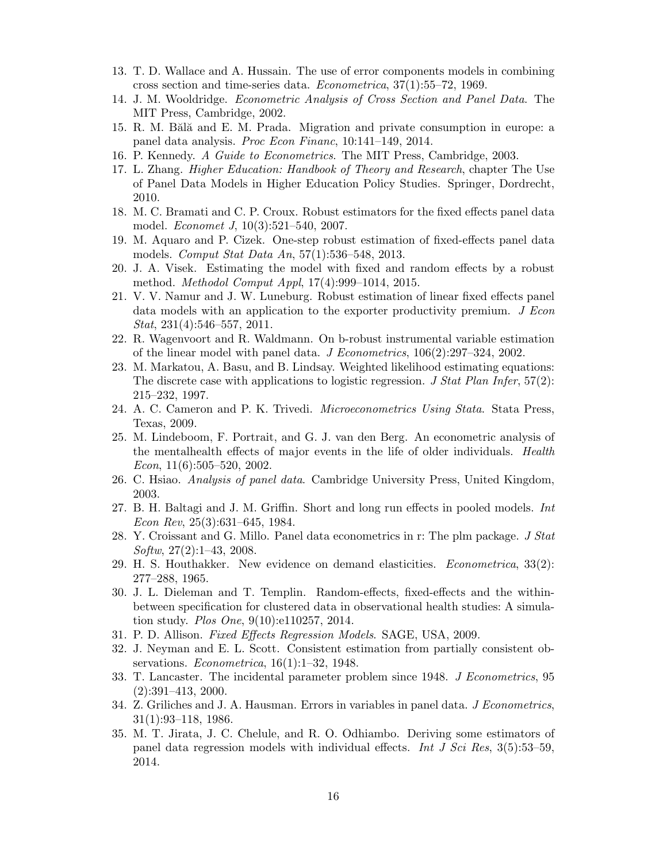- <span id="page-15-0"></span>13. T. D. Wallace and A. Hussain. The use of error components models in combining cross section and time-series data. Econometrica, 37(1):55–72, 1969.
- <span id="page-15-1"></span>14. J. M. Wooldridge. Econometric Analysis of Cross Section and Panel Data. The MIT Press, Cambridge, 2002.
- <span id="page-15-2"></span>15. R. M. Bălă and E. M. Prada. Migration and private consumption in europe: a panel data analysis. Proc Econ Financ, 10:141–149, 2014.
- <span id="page-15-3"></span>16. P. Kennedy. A Guide to Econometrics. The MIT Press, Cambridge, 2003.
- <span id="page-15-4"></span>17. L. Zhang. Higher Education: Handbook of Theory and Research, chapter The Use of Panel Data Models in Higher Education Policy Studies. Springer, Dordrecht, 2010.
- <span id="page-15-5"></span>18. M. C. Bramati and C. P. Croux. Robust estimators for the fixed effects panel data model. *Economet J*, 10(3):521-540, 2007.
- <span id="page-15-6"></span>19. M. Aquaro and P. Cizek. One-step robust estimation of fixed-effects panel data models. Comput Stat Data An, 57(1):536–548, 2013.
- <span id="page-15-7"></span>20. J. A. Visek. Estimating the model with fixed and random effects by a robust method. Methodol Comput Appl, 17(4):999–1014, 2015.
- <span id="page-15-8"></span>21. V. V. Namur and J. W. Luneburg. Robust estimation of linear fixed effects panel data models with an application to the exporter productivity premium. J Econ Stat, 231(4):546–557, 2011.
- <span id="page-15-9"></span>22. R. Wagenvoort and R. Waldmann. On b-robust instrumental variable estimation of the linear model with panel data. J Econometrics, 106(2):297–324, 2002.
- <span id="page-15-10"></span>23. M. Markatou, A. Basu, and B. Lindsay. Weighted likelihood estimating equations: The discrete case with applications to logistic regression. J Stat Plan Infer,  $57(2)$ : 215–232, 1997.
- <span id="page-15-11"></span>24. A. C. Cameron and P. K. Trivedi. *Microeconometrics Using Stata*. Stata Press, Texas, 2009.
- <span id="page-15-12"></span>25. M. Lindeboom, F. Portrait, and G. J. van den Berg. An econometric analysis of the mentalhealth effects of major events in the life of older individuals. Health Econ,  $11(6)$ :505-520, 2002.
- <span id="page-15-13"></span>26. C. Hsiao. Analysis of panel data. Cambridge University Press, United Kingdom, 2003.
- <span id="page-15-14"></span>27. B. H. Baltagi and J. M. Griffin. Short and long run effects in pooled models. Int Econ Rev, 25(3):631–645, 1984.
- <span id="page-15-15"></span>28. Y. Croissant and G. Millo. Panel data econometrics in r: The plm package. J Stat  $Softw, 27(2):1-43, 2008.$
- <span id="page-15-16"></span>29. H. S. Houthakker. New evidence on demand elasticities. Econometrica, 33(2): 277–288, 1965.
- <span id="page-15-17"></span>30. J. L. Dieleman and T. Templin. Random-effects, fixed-effects and the withinbetween specification for clustered data in observational health studies: A simulation study. *Plos One*,  $9(10):e110257$ , 2014.
- <span id="page-15-18"></span>31. P. D. Allison. Fixed Effects Regression Models. SAGE, USA, 2009.
- <span id="page-15-19"></span>32. J. Neyman and E. L. Scott. Consistent estimation from partially consistent observations. *Econometrica*,  $16(1):1-32$ , 1948.
- <span id="page-15-20"></span>33. T. Lancaster. The incidental parameter problem since 1948. J Econometrics, 95 (2):391–413, 2000.
- <span id="page-15-21"></span>34. Z. Griliches and J. A. Hausman. Errors in variables in panel data. *J Econometrics*, 31(1):93–118, 1986.
- <span id="page-15-22"></span>35. M. T. Jirata, J. C. Chelule, and R. O. Odhiambo. Deriving some estimators of panel data regression models with individual effects. Int J Sci Res,  $3(5):53-59$ , 2014.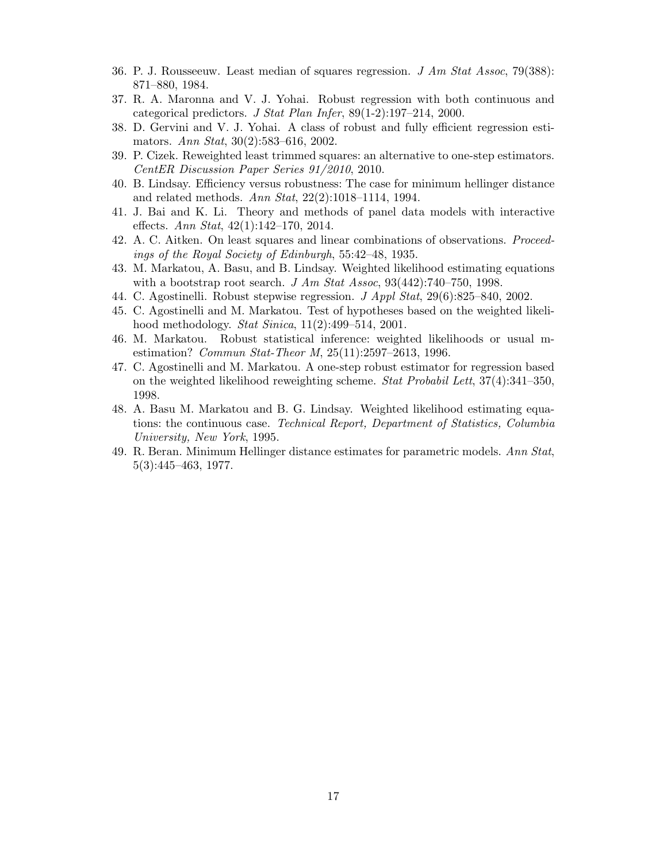- <span id="page-16-0"></span>36. P. J. Rousseeuw. Least median of squares regression. J Am Stat Assoc, 79(388): 871–880, 1984.
- <span id="page-16-1"></span>37. R. A. Maronna and V. J. Yohai. Robust regression with both continuous and categorical predictors. J Stat Plan Infer, 89(1-2):197–214, 2000.
- <span id="page-16-2"></span>38. D. Gervini and V. J. Yohai. A class of robust and fully efficient regression estimators. Ann Stat, 30(2):583–616, 2002.
- <span id="page-16-3"></span>39. P. Cizek. Reweighted least trimmed squares: an alternative to one-step estimators. CentER Discussion Paper Series 91/2010, 2010.
- <span id="page-16-4"></span>40. B. Lindsay. Efficiency versus robustness: The case for minimum hellinger distance and related methods. Ann Stat, 22(2):1018–1114, 1994.
- <span id="page-16-5"></span>41. J. Bai and K. Li. Theory and methods of panel data models with interactive effects. Ann Stat,  $42(1):142-170$ ,  $2014$ .
- <span id="page-16-6"></span>42. A. C. Aitken. On least squares and linear combinations of observations. Proceedings of the Royal Society of Edinburgh, 55:42–48, 1935.
- <span id="page-16-7"></span>43. M. Markatou, A. Basu, and B. Lindsay. Weighted likelihood estimating equations with a bootstrap root search.  $J \, Am \, Stat \, Assoc, 93(442):740-750, 1998.$
- <span id="page-16-8"></span>44. C. Agostinelli. Robust stepwise regression. J Appl Stat, 29(6):825–840, 2002.
- <span id="page-16-9"></span>45. C. Agostinelli and M. Markatou. Test of hypotheses based on the weighted likelihood methodology. Stat Sinica, 11(2):499–514, 2001.
- <span id="page-16-10"></span>46. M. Markatou. Robust statistical inference: weighted likelihoods or usual mestimation? Commun Stat-Theor M, 25(11):2597–2613, 1996.
- <span id="page-16-12"></span>47. C. Agostinelli and M. Markatou. A one-step robust estimator for regression based on the weighted likelihood reweighting scheme. Stat Probabil Lett,  $37(4)$ :  $341-350$ , 1998.
- <span id="page-16-13"></span>48. A. Basu M. Markatou and B. G. Lindsay. Weighted likelihood estimating equations: the continuous case. Technical Report, Department of Statistics, Columbia University, New York, 1995.
- <span id="page-16-11"></span>49. R. Beran. Minimum Hellinger distance estimates for parametric models. Ann Stat, 5(3):445–463, 1977.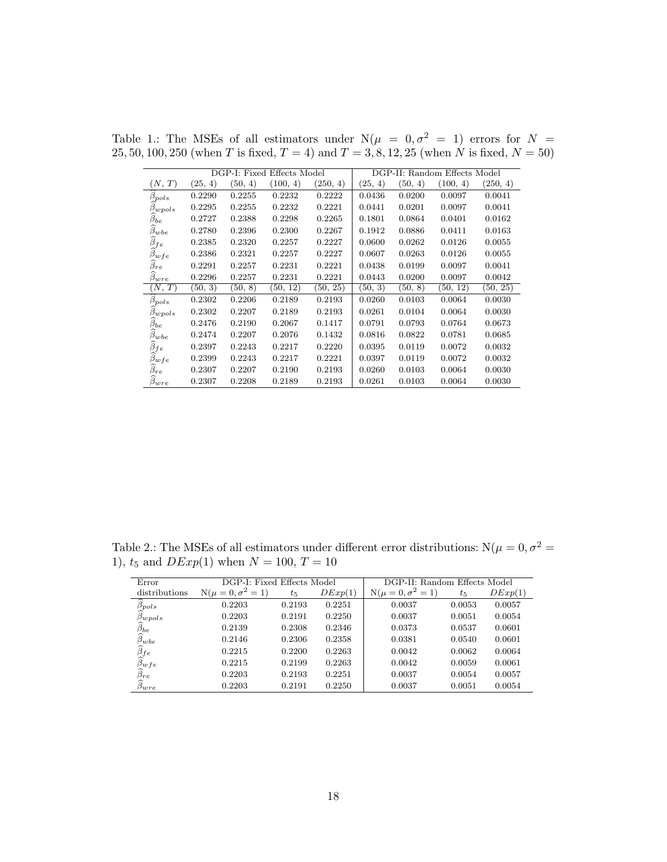|                        |         |         | DGP-I: Fixed Effects Model |          |         |         | DGP-II: Random Effects Model |          |
|------------------------|---------|---------|----------------------------|----------|---------|---------|------------------------------|----------|
| (N, T)                 | (25, 4) | (50, 4) | (100, 4)                   | (250, 4) | (25, 4) | (50, 4) | (100, 4)                     | (250, 4) |
| $\beta_{pols}$         | 0.2290  | 0.2255  | 0.2232                     | 0.2222   | 0.0436  | 0.0200  | 0.0097                       | 0.0041   |
| $\beta_{wpols}$        | 0.2295  | 0.2255  | 0.2232                     | 0.2221   | 0.0441  | 0.0201  | 0.0097                       | 0.0041   |
| $\beta_{be}$           | 0.2727  | 0.2388  | 0.2298                     | 0.2265   | 0.1801  | 0.0864  | 0.0401                       | 0.0162   |
| $\beta_{wbe}$          | 0.2780  | 0.2396  | 0.2300                     | 0.2267   | 0.1912  | 0.0886  | 0.0411                       | 0.0163   |
| $\widehat{\beta}_{fe}$ | 0.2385  | 0.2320  | 0.2257                     | 0.2227   | 0.0600  | 0.0262  | 0.0126                       | 0.0055   |
| $\beta_{wfe}$          | 0.2386  | 0.2321  | 0.2257                     | 0.2227   | 0.0607  | 0.0263  | 0.0126                       | 0.0055   |
| $\beta_{re}$           | 0.2291  | 0.2257  | 0.2231                     | 0.2221   | 0.0438  | 0.0199  | 0.0097                       | 0.0041   |
| $\beta_{wre}$          | 0.2296  | 0.2257  | 0.2231                     | 0.2221   | 0.0443  | 0.0200  | 0.0097                       | 0.0042   |
| $(N,\,T)$              | (50, 3) | (50, 8) | (50, 12)                   | (50, 25) | (50, 3) | (50, 8) | (50, 12)                     | [50, 25) |
| $\beta_{pols}$         | 0.2302  | 0.2206  | 0.2189                     | 0.2193   | 0.0260  | 0.0103  | 0.0064                       | 0.0030   |
| $\beta_{wpols}$        | 0.2302  | 0.2207  | 0.2189                     | 0.2193   | 0.0261  | 0.0104  | 0.0064                       | 0.0030   |
| $\beta_{be}$           | 0.2476  | 0.2190  | 0.2067                     | 0.1417   | 0.0791  | 0.0793  | 0.0764                       | 0.0673   |
| $\beta_{wbe}$          | 0.2474  | 0.2207  | 0.2076                     | 0.1432   | 0.0816  | 0.0822  | 0.0781                       | 0.0685   |
| $\beta_{fe}$           | 0.2397  | 0.2243  | 0.2217                     | 0.2220   | 0.0395  | 0.0119  | 0.0072                       | 0.0032   |
| $\beta_{wfe}$          | 0.2399  | 0.2243  | 0.2217                     | 0.2221   | 0.0397  | 0.0119  | 0.0072                       | 0.0032   |
| $\widehat{\beta}_{re}$ | 0.2307  | 0.2207  | 0.2190                     | 0.2193   | 0.0260  | 0.0103  | 0.0064                       | 0.0030   |
| $\beta_{wre}$          | 0.2307  | 0.2208  | 0.2189                     | 0.2193   | 0.0261  | 0.0103  | 0.0064                       | 0.0030   |

<span id="page-17-0"></span>Table 1.: The MSEs of all estimators under  $N(\mu = 0, \sigma^2 = 1)$  errors for  $N =$ 25, 50, 100, 250 (when T is fixed,  $T = 4$ ) and  $T = 3, 8, 12, 25$  (when N is fixed,  $N = 50$ )

<span id="page-17-1"></span>Table 2.: The MSEs of all estimators under different error distributions:  $N(\mu=0,\sigma^2=0)$ 1),  $t_5$  and  $DExp(1)$  when  $N = 100, T = 10$ 

| Error                                                 | DGP-I: Fixed Effects Model |         |         | DGP-II: Random Effects Model |         |         |  |  |  |  |
|-------------------------------------------------------|----------------------------|---------|---------|------------------------------|---------|---------|--|--|--|--|
| distributions                                         | $N(\mu = 0, \sigma^2 = 1)$ | $t_{5}$ | DExp(1) | $N(\mu = 0, \sigma^2 = 1)$   | $t_{5}$ | DExp(1) |  |  |  |  |
| $\widehat{\beta}_{pols}$<br>$\widehat{\beta}_{wpols}$ | 0.2203                     | 0.2193  | 0.2251  | 0.0037                       | 0.0053  | 0.0057  |  |  |  |  |
|                                                       | 0.2203                     | 0.2191  | 0.2250  | 0.0037                       | 0.0051  | 0.0054  |  |  |  |  |
| $\widehat{\beta}_{be}$                                | 0.2139                     | 0.2308  | 0.2346  | 0.0373                       | 0.0537  | 0.0601  |  |  |  |  |
|                                                       | 0.2146                     | 0.2306  | 0.2358  | 0.0381                       | 0.0540  | 0.0601  |  |  |  |  |
|                                                       | 0.2215                     | 0.2200  | 0.2263  | 0.0042                       | 0.0062  | 0.0064  |  |  |  |  |
| $\frac{\widehat{\beta}_{fe}}{\widehat{\beta}_{wfe}}$  | 0.2215                     | 0.2199  | 0.2263  | 0.0042                       | 0.0059  | 0.0061  |  |  |  |  |
|                                                       | 0.2203                     | 0.2193  | 0.2251  | 0.0037                       | 0.0054  | 0.0057  |  |  |  |  |
| $\overset{\sim}{\beta}_{wre}$                         | 0.2203                     | 0.2191  | 0.2250  | 0.0037                       | 0.0051  | 0.0054  |  |  |  |  |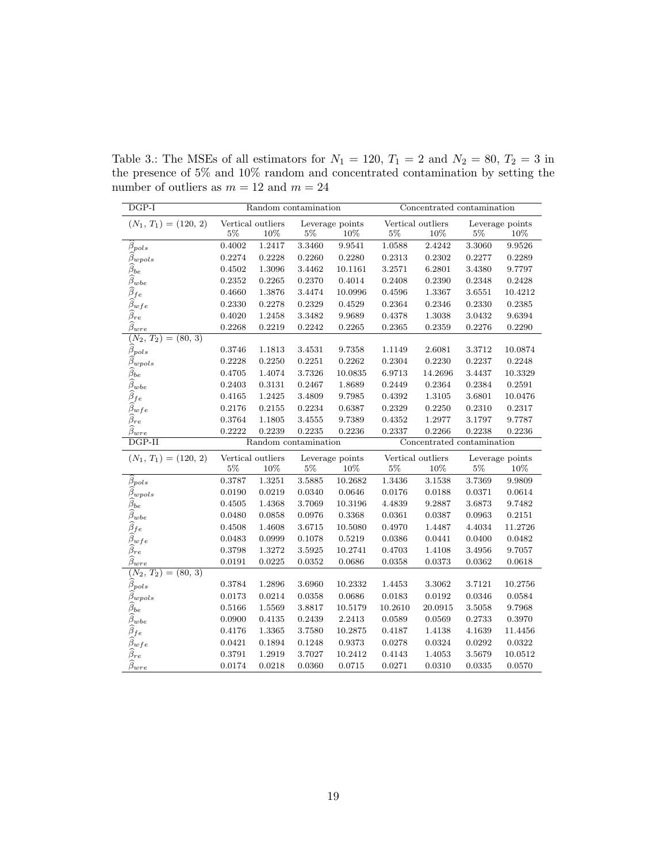| $DGP-I$                                             |                   | Random contamination |                      | Concentrated contamination |                  |                            |                  |                   |  |  |  |  |  |  |
|-----------------------------------------------------|-------------------|----------------------|----------------------|----------------------------|------------------|----------------------------|------------------|-------------------|--|--|--|--|--|--|
| $(N_1, T_1) = (120, 2)$                             | Vertical outliers |                      |                      | Leverage points            |                  | Vertical outliers          |                  | Leverage points   |  |  |  |  |  |  |
|                                                     | $5\%$             | 10%                  | $5\%$                | 10%                        | $5\%$            | 10%                        | 5%               | 10%               |  |  |  |  |  |  |
| $\beta_{pols}$                                      | 0.4002            | 1.2417               | 3.3460               | 9.9541                     | 1.0588           | 2.4242                     | 3.3060           | 9.9526            |  |  |  |  |  |  |
| $\widehat{\beta}_{wpols}$                           | 0.2274            | 0.2228               | 0.2260               | 0.2280                     | 0.2313           | 0.2302                     | 0.2277           | 0.2289            |  |  |  |  |  |  |
| $\widehat{\beta}_{be}$                              | 0.4502            | 1.3096               | 3.4462               | 10.1161                    | 3.2571           | 6.2801                     | 3.4380           | 9.7797            |  |  |  |  |  |  |
| $\widehat{\beta}_{wbe}$                             | 0.2352            | 0.2265               | 0.2370               | 0.4014                     | 0.2408           | 0.2390                     | 0.2348           | 0.2428            |  |  |  |  |  |  |
| $\widehat{\beta}_{fe}$                              | 0.4660            | 1.3876               | 3.4474               | 10.0996                    | 0.4596           | 1.3367                     | 3.6551           | 10.4212           |  |  |  |  |  |  |
| $\widehat{\beta}_{wfe}$                             | 0.2330            | 0.2278               | 0.2329               | 0.4529                     | 0.2364           | 0.2346                     | 0.2330           | 0.2385            |  |  |  |  |  |  |
| $\widehat{\beta}_{re}$                              | 0.4020            | 1.2458               | 3.3482               | 9.9689                     | 0.4378           | 1.3038                     | 3.0432           | 9.6394            |  |  |  |  |  |  |
| $\widehat{\beta}_{\underline{wre}}$                 | 0.2268            | 0.2219               | 0.2242               | 0.2265                     | 0.2365           | 0.2359                     | 0.2276           | 0.2290            |  |  |  |  |  |  |
| $(N_2,\,T_2)$<br>$= (80, 3)$                        |                   |                      |                      |                            |                  |                            |                  |                   |  |  |  |  |  |  |
| $\widehat{\beta}_{pols}$                            | 0.3746            | 1.1813               | 3.4531               | 9.7358                     | 1.1149           | 2.6081                     | $3.3712\,$       | 10.0874           |  |  |  |  |  |  |
| $\beta_{wpols}$                                     | 0.2228            | 0.2250               | 0.2251               | 0.2262                     | 0.2304           | 0.2230                     | 0.2237           | 0.2248            |  |  |  |  |  |  |
| $\widehat{\beta}_{be}$                              | 0.4705            | 1.4074               | 3.7326               | 10.0835                    | 6.9713           | 14.2696                    | 3.4437           | 10.3329           |  |  |  |  |  |  |
| $\widehat{\beta}_{wbe}$                             | 0.2403            | 0.3131               | 0.2467               | 1.8689                     | 0.2449           | 0.2364                     | 0.2384           | 0.2591            |  |  |  |  |  |  |
| $\widehat{\beta}_{fe}$                              | 0.4165            | 1.2425               | 3.4809               | 9.7985                     | 0.4392           | 1.3105                     | 3.6801           | 10.0476           |  |  |  |  |  |  |
| $\widehat{\beta}_{wfe}$                             | 0.2176            | 0.2155               | 0.2234               | 0.6387                     | 0.2329           | 0.2250                     | 0.2310           | 0.2317            |  |  |  |  |  |  |
| $\widehat{\beta}_{re}$                              | 0.3764            | 1.1805               | 3.4555               | 9.7389                     | 0.4352           | 1.2977                     | 3.1797           | 9.7787            |  |  |  |  |  |  |
| $\widehat{\beta}_{\underline{wre}}$                 | 0.2222            | 0.2239               | 0.2235               | 0.2236                     | 0.2337           | 0.2266                     | 0.2238           | 0.2236            |  |  |  |  |  |  |
| $DGP-II$                                            |                   |                      | Random contamination |                            |                  | Concentrated contamination |                  |                   |  |  |  |  |  |  |
| $(N_1, T_1) = (120, 2)$                             | Vertical outliers |                      |                      | Leverage points            |                  | Vertical outliers          |                  | Leverage points   |  |  |  |  |  |  |
|                                                     | $5\%$             | 10%                  | $5\%$                | 10%                        | $5\%$            | 10%                        | 5%               | $10\%$            |  |  |  |  |  |  |
| $\widehat{\beta}_{pols}$                            | 0.3787            | 1.3251               | 3.5885               | 10.2682                    | 1.3436           | 3.1538                     | 3.7369           | 9.9809            |  |  |  |  |  |  |
| $\beta_{wpols}$                                     | 0.0190            | 0.0219               | 0.0340               | 0.0646                     | 0.0176           | 0.0188                     | 0.0371           | 0.0614            |  |  |  |  |  |  |
| $\widehat{\beta}_{be}$                              | 0.4505            | 1.4368               | 3.7069               | 10.3196                    | 4.4839           | 9.2887                     | 3.6873           | 9.7482            |  |  |  |  |  |  |
| $\widehat{\beta}_{wbe}$                             | 0.0480            | 0.0858               | 0.0976               | 0.3368                     | 0.0361           | 0.0387                     | 0.0963           | 0.2151            |  |  |  |  |  |  |
| $\widehat{\beta}_{fe}$                              | 0.4508            | 1.4608               | 3.6715               | 10.5080                    | 0.4970           | 1.4487                     | 4.4034           | 11.2726           |  |  |  |  |  |  |
| $\widehat{\beta}_{wfe}$                             | 0.0483            | 0.0999               | 0.1078               | 0.5219                     | 0.0386           | 0.0441                     | 0.0400           | 0.0482            |  |  |  |  |  |  |
| $\widehat{\beta}_{re}$                              | 0.3798            | 1.3272               | 3.5925               | 10.2741                    | 0.4703           | 1.4108                     | 3.4956           | 9.7057            |  |  |  |  |  |  |
| $\widehat{\beta}_{\underline{wre}}$                 | 0.0191            |                      |                      |                            |                  | 0.0373                     | 0.0362           | 0.0618            |  |  |  |  |  |  |
| $(\overline{N_2},T_2)$<br>$= (80, 3)$               |                   | 0.0225               | 0.0352               | 0.0686                     | 0.0358           |                            |                  |                   |  |  |  |  |  |  |
|                                                     |                   |                      |                      |                            |                  |                            |                  |                   |  |  |  |  |  |  |
| $\widehat{\beta}_{pols}$                            | 0.3784            | 1.2896               | 3.6960               | 10.2332                    | 1.4453           | 3.3062                     | 3.7121           | 10.2756           |  |  |  |  |  |  |
|                                                     | 0.0173            | 0.0214               | 0.0358               | 0.0686                     | 0.0183           | 0.0192                     | 0.0346           | 0.0584            |  |  |  |  |  |  |
| $\widehat{\beta}_{wpols}$<br>$\widehat{\beta}_{be}$ | 0.5166            | 1.5569               | 3.8817               | 10.5179                    | 10.2610          | 20.0915                    | 3.5058           | 9.7968            |  |  |  |  |  |  |
|                                                     | 0.0900            | 0.4135               | 0.2439               | 2.2413                     | 0.0589           | 0.0569                     | 0.2733           | 0.3970            |  |  |  |  |  |  |
| $\widehat{\beta}_{wbe}$                             | 0.4176            | 1.3365               | 3.7580               | 10.2875                    | 0.4187           | 1.4138                     | 4.1639           | 11.4456           |  |  |  |  |  |  |
| $\widehat{\beta}_{fe}$<br>$\widehat{\beta}_{wfe}$   | 0.0421            | 0.1894               | 0.1248               | 0.9373                     | 0.0278           | 0.0324                     | 0.0292           | 0.0322            |  |  |  |  |  |  |
| $\widehat{\beta}_{re}$<br>$\widehat{\beta}_{wre}$   | 0.3791<br>0.0174  | 1.2919<br>0.0218     | 3.7027<br>0.0360     | 10.2412<br>0.0715          | 0.4143<br>0.0271 | 1.4053<br>0.0310           | 3.5679<br>0.0335 | 10.0512<br>0.0570 |  |  |  |  |  |  |

<span id="page-18-0"></span>Table 3.: The MSEs of all estimators for  $N_1 = 120$ ,  $T_1 = 2$  and  $N_2 = 80$ ,  $T_2 = 3$  in the presence of 5% and 10% random and concentrated contamination by setting the number of outliers as  $m = 12$  and  $m = 24$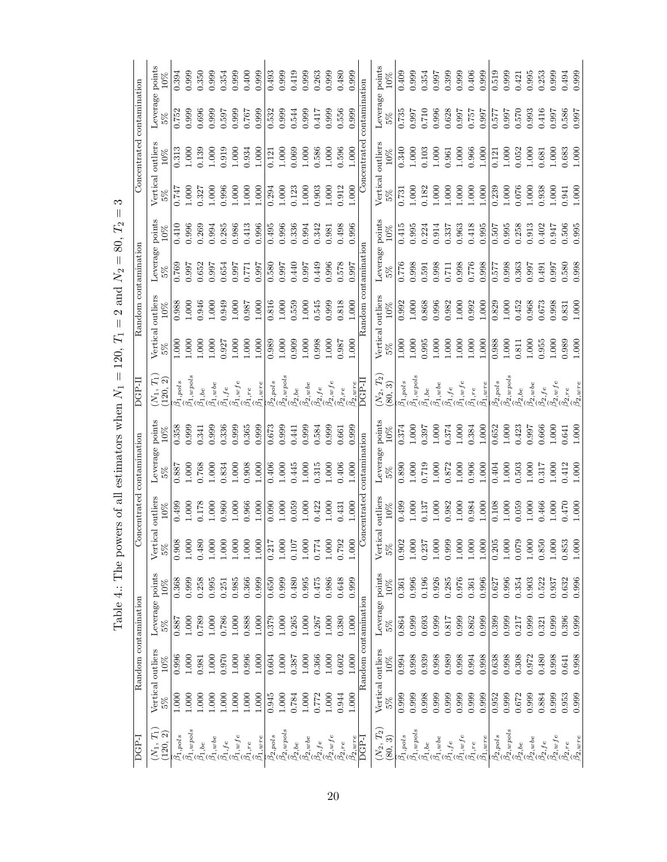|                            | Leverage points<br>10%                           | 0.394                                   | 0.999                                                                                                                | 0.350   | 0.999                                                                                                                                                                                                                                                                                                                                                                                                                                                                                                   | 0.354                    | 0.999                                | 0.400     | 0.999                    | 0.493                              | 0.999                                            | 0.419                            | 0.999                                                  | 0.263                      | 0.999                                                                                             | 0.480           | 0.999                    |                      | Leverage points   | 10%     | 0.409             | 0.999                                                                                                  | 0.354     | 0.997     | 0.399                                                                                                                                                                                                                                                                                                                                                                                                                                                                           | 0.999     | 0.406                                                                                                                                    | 0.999                       | 0.519             | 0.999                            | 0.421          | 0.995                                 | 0.253                    | 0.999                                                                 | 0.494                              | 0.999                        |
|----------------------------|--------------------------------------------------|-----------------------------------------|----------------------------------------------------------------------------------------------------------------------|---------|---------------------------------------------------------------------------------------------------------------------------------------------------------------------------------------------------------------------------------------------------------------------------------------------------------------------------------------------------------------------------------------------------------------------------------------------------------------------------------------------------------|--------------------------|--------------------------------------|-----------|--------------------------|------------------------------------|--------------------------------------------------|----------------------------------|--------------------------------------------------------|----------------------------|---------------------------------------------------------------------------------------------------|-----------------|--------------------------|----------------------|-------------------|---------|-------------------|--------------------------------------------------------------------------------------------------------|-----------|-----------|---------------------------------------------------------------------------------------------------------------------------------------------------------------------------------------------------------------------------------------------------------------------------------------------------------------------------------------------------------------------------------------------------------------------------------------------------------------------------------|-----------|------------------------------------------------------------------------------------------------------------------------------------------|-----------------------------|-------------------|----------------------------------|----------------|---------------------------------------|--------------------------|-----------------------------------------------------------------------|------------------------------------|------------------------------|
|                            | 5%                                               | 0.752                                   | 0.999                                                                                                                | 0.696   | 0.999                                                                                                                                                                                                                                                                                                                                                                                                                                                                                                   | 0.597                    | 0.999                                | 0.767     | 0.999                    | 0.532                              | 0.999                                            | 0.544                            | 0.999                                                  | 0.417                      | 0.999                                                                                             | 0.556           | 0.999                    | contamination        |                   | $5\%$   | 0.735             | 0.997                                                                                                  | $0.710\,$ | 0.996     | 0.628                                                                                                                                                                                                                                                                                                                                                                                                                                                                           | 0.997     | 0.757                                                                                                                                    | 0.997                       | 0.577             | 0.997                            | 0.570          | 0.993                                 | 0.416                    | 0.997                                                                 | 0.586                              | 0.997                        |
| Concentrated contamination | outliers<br>10%                                  | 0.313                                   | 1.000                                                                                                                | 0.139   | 1.000                                                                                                                                                                                                                                                                                                                                                                                                                                                                                                   | 0.919                    | 1.000                                | 0.934     | 1.000                    | 0.121                              | 1.000                                            | 0.069                            | 1.000                                                  | 0.586                      | 1.000                                                                                             | 0.596           | 000.1                    | Concentrated         | Vertical outliers | 10%     | 0.340             | 1.000                                                                                                  | 0.103     | 1.000     | 0.961                                                                                                                                                                                                                                                                                                                                                                                                                                                                           | 1.000     | 0.966                                                                                                                                    | 1.000                       | 0.121             | $1.000\,$                        | 0.052          | 1.000                                 | 0.681                    | 1.000                                                                 | 0.683                              | 1.000                        |
|                            | Vertical<br>5%                                   | 747                                     | 1.000                                                                                                                | 0.327   | 1.000                                                                                                                                                                                                                                                                                                                                                                                                                                                                                                   | 0.996                    | 1.000                                | 1.000     | 1.000                    | 0.294                              | $1.000$                                          | 0.123                            | 1.000                                                  | 0.903                      | 1.000                                                                                             | 0.912           | $1.000$                  |                      |                   | 262     | 0.731             | 1.000                                                                                                  | 0.182     | 1.000     | 1.000                                                                                                                                                                                                                                                                                                                                                                                                                                                                           | 1.000     | 1.000                                                                                                                                    | 1.000                       | 0.239             | 1.000                            | 0.076          | 1.000                                 | 0.938                    | 1.000                                                                 | 1.941                              | 1.000                        |
|                            | 10%                                              | 0.410                                   | 0.996                                                                                                                | 0.269   | 0.994                                                                                                                                                                                                                                                                                                                                                                                                                                                                                                   | 0.285                    | 0.986                                | 0.413     | 0.996                    | 0.495                              | 0.996                                            | 0.336                            | 0.994                                                  | 0.342                      | 0.981                                                                                             | 0.498           | 0.996                    |                      |                   | 10%     | 0.415             | 0.995                                                                                                  | 0.224     | 0.914     | 0.337                                                                                                                                                                                                                                                                                                                                                                                                                                                                           | 0.963     | 0.418                                                                                                                                    | 0.995                       | 0.507             | 0.995                            | 0.258          | 0.913                                 | 0.402                    | 0.947                                                                 | 0.506                              | 0.995                        |
|                            | Leverage points<br>5%                            | 0.769                                   | 0.997                                                                                                                | 0.652   | 0.997                                                                                                                                                                                                                                                                                                                                                                                                                                                                                                   | 0.654                    | 0.997                                | 0.771     | 0.997                    | 0.580                              | 0.997                                            | 0.440                            | 0.997                                                  | 0.449                      | 0.996                                                                                             | 0.578           | 0.997                    |                      | Leverage points   | 5%      | 0.776             | 0.998                                                                                                  | 0.591     | 0.998     | 0.711                                                                                                                                                                                                                                                                                                                                                                                                                                                                           | 0.998     | 0.776                                                                                                                                    | 0.998                       | 0.577             | 0.998                            | 0.363          | 0.997                                 | 0.491                    | 0.997                                                                 | 0.580                              | 0.998                        |
| Random contamination       | 10%                                              | 0.988                                   | 1.000                                                                                                                | 0.946   | 1.000                                                                                                                                                                                                                                                                                                                                                                                                                                                                                                   | 0.949                    | 1.000                                | 0.987     | 1.000                    | 0.816                              | $1.000\,$                                        | 0.559                            | 1.000                                                  | 0.545                      | 0.999                                                                                             | 0.818           | 000.1                    | Random contamination |                   | 10%     | 0.992             | 1.000                                                                                                  | 0.868     | 0.996     | 0.982                                                                                                                                                                                                                                                                                                                                                                                                                                                                           | 1.000     | 0.992                                                                                                                                    | 1.000                       | 0.829             | 1.000                            | 0.452          | 0.968                                 | 0.673                    | 0.998                                                                 | 0.831                              | 1.000                        |
|                            | Vertical outliers<br>5%                          | 000                                     | 0.000                                                                                                                | 000.1   | 1.000                                                                                                                                                                                                                                                                                                                                                                                                                                                                                                   | 0.927                    | 1.000                                | 1.000     | 1.000                    | 0.989                              | 1.000                                            | 0.909                            | 1.000                                                  | 0.998                      | 1.000                                                                                             | 0.987           | 1.000                    |                      | Vertical outliers |         | 1.000             | 1.000                                                                                                  | 0.995     | 1.000     | 1.000                                                                                                                                                                                                                                                                                                                                                                                                                                                                           | 1.000     | 1.000                                                                                                                                    | 1.000                       | 0.988             | 1.000                            | 0.811          | 1.000                                 | 0.955                    | 1.000                                                                 | 0.989                              | 1.000                        |
| DGP-II                     | $(N_1, T_1)$<br>$\widehat{\mathcal{C}}$<br>(120, | $\mathop \Delta \limits^ \circ 1, pols$ | $\beta_{1,wpols}$                                                                                                    |         | $\begin{array}{l} \hline \tilde{\omega}_{1},\tilde{b}_{2}\\ \tilde{\omega}_{2},\tilde{c}_{3}\\ \tilde{\omega}_{3},\tilde{c}_{4}\\ \tilde{\omega}_{4},\tilde{c}_{5}\\ \tilde{\omega}_{5},\tilde{c}_{6}\\ \tilde{\omega}_{6}\\ \tilde{\omega}_{7},\tilde{c}_{7}\\ \tilde{\omega}_{8},\tilde{c}_{8}\\ \tilde{\omega}_{9},\tilde{c}_{8}\\ \tilde{\omega}_{10},\tilde{c}_{8}\\ \tilde{\omega}_{11},\tilde{c}_{8}\\ \tilde{\omega}_{12},\tilde{c}_{8}\\ \tilde{\omega}_{13},\tilde{c}_{8}\\ \tilde{\omega}_{$ |                          |                                      |           | $\beta_{1,\mathrm{wre}}$ | $\underset{\sim}{\beta_{2, pols}}$ | $\frac{\beta_{2,wpols}}{}$                       | $\frac{\beta_{2,be}}{2}$         | $\frac{\beta_{2, wbe}}{\sim}$                          |                            | $\begin{array}{l} \beta_2, f e \\ \widehat{\beta}_2, w f e \\ \widehat{\beta}_2, r e \end{array}$ |                 | $\beta_{2,\mathrm{wre}}$ | DGP-II               | $(N_2,\,T_2)$     | (80, 3) |                   | $\begin{array}{l} \beta_{1, pols} \\ \beta_{1, wpols} \\ \beta_{1, b e} \\ \beta_{1, wbe} \end{array}$ |           |           |                                                                                                                                                                                                                                                                                                                                                                                                                                                                                 |           | $\begin{array}{l} \widehat{\beta_1}, f e \\ \widehat{\beta_1}, w f e \\ \widehat{\beta_1}, r e \\ \widehat{\beta_2}, r e \\ \end{array}$ |                             | $\beta_{2, pols}$ | $\frac{\beta_{2,wpols}}{}$       |                | $\frac{\beta_{2},b e}{\beta_{2},wbe}$ |                          | $\begin{array}{l} \beta_2, f e \\ \widehat{\beta_2}, wfe \end{array}$ | $\beta_{2, re}$                    | $\beta_{2,\underline{wre}}$  |
|                            | Leverage points<br>10%                           | 0.358                                   | 0.999                                                                                                                | 0.341   | 0.999                                                                                                                                                                                                                                                                                                                                                                                                                                                                                                   | 0.336                    | 0.999                                | 0.365     | 0.999                    | 0.673                              | 0.999                                            | 0.441                            | 0.999                                                  | 0.584                      | 0.999                                                                                             | 0.661           | 0.999                    |                      | Leverage points   | 10%     | 0.374             | 1.000                                                                                                  | 0.397     | 1.000     | 0.374                                                                                                                                                                                                                                                                                                                                                                                                                                                                           | 1.000     | 0.384                                                                                                                                    | 1.000                       | 0.652             | $1.000\,$                        | 0.423          | 0.997                                 | 0.666                    | 1.000                                                                 | 0.641                              | 1.000                        |
|                            |                                                  | 1887                                    | 1.000                                                                                                                | 0.768   | 1.000                                                                                                                                                                                                                                                                                                                                                                                                                                                                                                   | 0.834                    | 1.000                                | 0.908     | 1.000                    | 0.406                              | 1.000                                            | 0.445                            | 1.000                                                  | 0.315                      | 1.000                                                                                             | 0.406           | 1.000                    | contamination        |                   | 5%      | 0.890             | 1.000                                                                                                  | 0.719     | 1.000     | 0.872                                                                                                                                                                                                                                                                                                                                                                                                                                                                           | 1.000     | 0.906                                                                                                                                    | 1.000                       | 0.404             | 1.000                            | 0.503          | 1.000                                 | 0.317                    | 1.000                                                                 | 0.412                              | 1.000                        |
| Concentrated contamination | outliers<br>10%                                  | 0.499                                   | 1.000                                                                                                                | 0.178   | 1.000                                                                                                                                                                                                                                                                                                                                                                                                                                                                                                   | 0.960                    | 1.000                                | 0.966     | 1.000                    | 0.090                              | 1.000                                            | 0.059                            | 1.000                                                  | 0.422                      | 1.000                                                                                             | 0.431           | $1.000$                  | Concentrated         | outliers          | 10%     | 0.499             | 1.000                                                                                                  | 0.137     | 1.000     | 0.982                                                                                                                                                                                                                                                                                                                                                                                                                                                                           | 1.000     | 0.984                                                                                                                                    | 1.000                       | 0.108             | $1.000$                          | 0.059          | 1.000                                 | 0.466                    | 1.000                                                                 | 0.470                              | 1.000                        |
|                            | Vertical<br>$26\,$                               | 0.908                                   | $1.000\,$                                                                                                            | 0.480   | $1.000\,$                                                                                                                                                                                                                                                                                                                                                                                                                                                                                               | $1.000$                  | 1.000                                | $1.000\,$ | $1.000\,$                | $\overline{0.217}$                 | $1.000\,$                                        | $\overline{c}$<br>$\overline{0}$ | $\begin{array}{c} 1.000 \\ 0.774 \\ 1.000 \end{array}$ |                            |                                                                                                   | 0.792           | 1.000                    |                      | Vertical          | $5\%$   | $\frac{1}{0.902}$ | $1.000\,$                                                                                              | 0.237     | $1.000\,$ | 0.999                                                                                                                                                                                                                                                                                                                                                                                                                                                                           | $1.000\,$ | $1.000\,$                                                                                                                                | $1.000\,$                   | $0.205$<br>1.000  |                                  | 0.079          | $1.000\,$                             | $\!0.850$                | $1.000\,$                                                             | $\mathbb{S}^3$<br>$\overline{0.8}$ | 1.000                        |
|                            | 10%                                              | 0.368                                   | 0.999                                                                                                                | 0.258   | 0.995                                                                                                                                                                                                                                                                                                                                                                                                                                                                                                   | 0.251                    | 0.985                                | 0.366     | 0.999                    | 0.650                              | 0.999                                            | 0.480                            | 0.995                                                  | 0.475                      | 0.986                                                                                             | 0.648           | 0.999                    |                      |                   | 10%     | 0.361             | 0.996                                                                                                  | 0.196     | 0.926     | 0.285                                                                                                                                                                                                                                                                                                                                                                                                                                                                           | 0.976     | 0.361                                                                                                                                    | 0.996                       | 0.627             | 0.996                            | 0.354          | 0.903                                 | 0.522                    | 0.937                                                                 | 0.632                              | 0.996                        |
|                            | Leverage points<br>5%                            | 0.887                                   | 1.000                                                                                                                | 0.789   | 1.000                                                                                                                                                                                                                                                                                                                                                                                                                                                                                                   | 0.786                    | 1.000                                | 0.888     | $1.000\,$                | 0.379                              | 1.000                                            | 0.265                            | 1.000                                                  | 0.267                      | 1.000                                                                                             | 0.380           | 1.000                    |                      | Leverage points   | 5%      | 0.864             | 0.999                                                                                                  | 0.693     | 0.999     | 0.817                                                                                                                                                                                                                                                                                                                                                                                                                                                                           | 0.999     | 0.862                                                                                                                                    | 0.999                       | 0.399             | 0.999                            | 0.217          | 0.999                                 | 0.321                    | 0.999                                                                 | 0.396                              | 0.999                        |
| Random contamination       | 10%                                              | 0.996                                   | 1.000                                                                                                                | 0.981   | 1.000                                                                                                                                                                                                                                                                                                                                                                                                                                                                                                   | 0.970                    | 1.000                                | 0.996     | 1.000                    | 0.604                              | 1.000                                            | 0.387                            | 1.000                                                  | 0.366                      | 1.000                                                                                             | 0.602           | 1.000                    | Random contamination |                   | 10%     | 0.994             | 0.998                                                                                                  | 0.939     | 0.998     | 0.989                                                                                                                                                                                                                                                                                                                                                                                                                                                                           | 0.998     | 0.994                                                                                                                                    | 0.998                       | 0.638             | 0.998                            | 0.308          | 0.972                                 | 0.480                    | 0.998                                                                 | 0.641                              | 0.998                        |
|                            | Vertical outliers<br>5%                          | 1.000                                   | 000.1                                                                                                                | $000$ . | 1.000                                                                                                                                                                                                                                                                                                                                                                                                                                                                                                   | 1.000                    | 1.000                                | $1.000$   | 1.000                    | 0.945                              | 1.000                                            | 0.784                            | 1.000                                                  | 0.772                      | 1.000                                                                                             | 0.944           | 1.000                    |                      | Vertical outliers | 5%      | 0.999             | 0.999                                                                                                  | 0.998     | 0.999     | 0.999                                                                                                                                                                                                                                                                                                                                                                                                                                                                           | 0.999     | 0.999                                                                                                                                    | 0.999                       | 0.952             | 0.999                            | 0.672          | 0.999                                 | 0.884                    | 0.999                                                                 | 0.953                              | 0.999                        |
| <b>DGP-I</b>               | $F_2$<br>(120,<br>$(N_1,$                        |                                         | $\begin{array}{l} \beta_{1, pols} \\ \beta_{1, wpols} \\ \beta_{1, b} \\ \beta_{1, b} \\ \beta_{1, wbe} \end{array}$ |         |                                                                                                                                                                                                                                                                                                                                                                                                                                                                                                         | $\widehat{\beta}_{1,fe}$ | $\overbrace{{\beta}_1,}{\omega}_r e$ |           | $\beta_{1,\mathrm{wre}}$ |                                    | $\frac{\beta_{2, pols}}{\hat{\beta}_{2, wpols}}$ | $\beta_{2,be}$                   | $\widehat{\beta}_{2,wbee}$                             | $\widehat{\beta_{2}}, f e$ | $\widehat{\beta}_{2,\,w\,fe}$                                                                     | $\beta_{2, re}$ | $\beta_{2, wire}$        | DGP-I                | $(N_2, T_2)$      | (80, 3) |                   |                                                                                                        |           |           | $\begin{array}{l} \tilde{\mathcal{Q}}_{1}, \mathit{pois} \\ \tilde{\mathcal{Q}}_{1}, \mathit{wpes} \\ \tilde{\mathcal{Q}}_{1}, \mathit{vib} \\ \tilde{\mathcal{Q}}_{2}, \tilde{\mathcal{Q}}_{3}, \tilde{\mathcal{Q}}_{4}, \tilde{\mathcal{Q}}_{5}, \tilde{\mathcal{Q}}_{6} \\ \tilde{\mathcal{Q}}_{5}, \tilde{\mathcal{Q}}_{6}, \tilde{\mathcal{Q}}_{7}, \tilde{\mathcal{Q}}_{8}, \tilde{\mathcal{Q}}_{9}, \tilde{\mathcal{Q}}_{1}, \tilde{\mathcal{Q}}_{1}, \tilde{\mathcal{Q$ |           |                                                                                                                                          | $\widehat{\beta}_{1, wire}$ | $\beta_{2, pols}$ | $\overbrace{\beta_2,\!^{opols}}$ | $\beta_{2,be}$ | $\widehat{\beta}_{2,wbe}$             | $\widehat{\beta}_{2,fe}$ | $\beta_{2,wfe}$                                                       | $\beta_{2,re}$                     | $\widehat{\beta_{2, write}}$ |

<span id="page-19-0"></span>Table 4.: The powers of all estimators when  $N_1 = 120,$  $T_1 = 2$  and  $N_2 = 80,$  $T_2 = 3$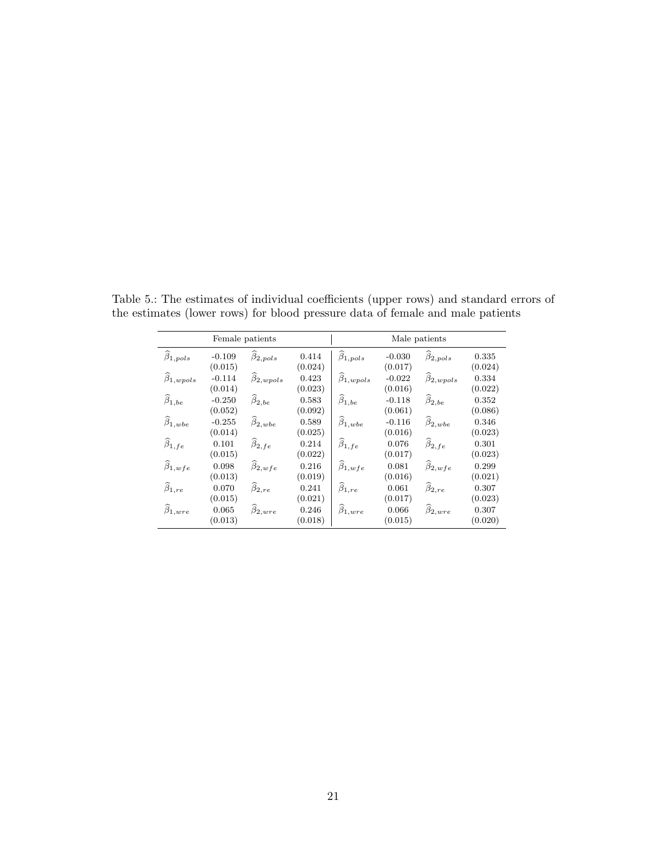|                              |                     | Female patients              |                  | Male patients              |                     |                              |                  |  |  |  |  |  |
|------------------------------|---------------------|------------------------------|------------------|----------------------------|---------------------|------------------------------|------------------|--|--|--|--|--|
| $\widehat{\beta}_{1,pols}$   | $-0.109$<br>(0.015) | $\widehat{\beta}_{2, pols}$  | 0.414<br>(0.024) | $\widehat{\beta}_{1,pols}$ | $-0.030$<br>(0.017) | $\widehat{\beta}_{2,pols}$   | 0.335<br>(0.024) |  |  |  |  |  |
| $\widehat{\beta}_{1, wpols}$ | $-0.114$<br>(0.014) | $\widehat{\beta}_{2, wpols}$ | 0.423<br>(0.023) | $\beta_{1, wpols}$         | $-0.022$<br>(0.016) | $\widehat{\beta}_{2, wpols}$ | 0.334<br>(0.022) |  |  |  |  |  |
| $\widehat{\beta}_{1,be}$     | $-0.250$<br>(0.052) | $\widehat{\beta}_{2,be}$     | 0.583<br>(0.092) | $\widehat{\beta}_{1,be}$   | $-0.118$<br>(0.061) | $\widehat{\beta}_{2,be}$     | 0.352<br>(0.086) |  |  |  |  |  |
| $\widehat{\beta}_{1, wbe}$   | $-0.255$<br>(0.014) | $\widehat{\beta}_{2, wbe}$   | 0.589<br>(0.025) | $\beta_{1, wbe}$           | $-0.116$<br>(0.016) | $\beta_{2, wbe}$             | 0.346<br>(0.023) |  |  |  |  |  |
| $\widehat{\beta}_{1,fe}$     | 0.101<br>(0.015)    | $\widehat{\beta}_{2,fe}$     | 0.214<br>(0.022) | $\widehat{\beta}_{1,fe}$   | 0.076<br>(0.017)    | $\widehat{\beta}_{2,fe}$     | 0.301<br>(0.023) |  |  |  |  |  |
| $\widehat{\beta}_{1,wfe}$    | 0.098<br>(0.013)    | $\widehat{\beta}_{2,wfe}$    | 0.216<br>(0.019) | $\widehat{\beta}_{1,wfe}$  | 0.081<br>(0.016)    | $\widehat{\beta}_{2,wfe}$    | 0.299<br>(0.021) |  |  |  |  |  |
| $\widehat{\beta}_{1,re}$     | 0.070<br>(0.015)    | $\widehat{\beta}_{2, re}$    | 0.241<br>(0.021) | $\widehat{\beta}_{1,re}$   | 0.061<br>(0.017)    | $\widehat{\beta}_{2, re}$    | 0.307<br>(0.023) |  |  |  |  |  |
| $\widehat{\beta}_{1, wire}$  | 0.065<br>(0.013)    | $\widehat{\beta}_{2, wire}$  | 0.246<br>(0.018) | $\beta_{1, wire}$          | 0.066<br>(0.015)    | $\widehat{\beta}_{2,wire}$   | 0.307<br>(0.020) |  |  |  |  |  |

<span id="page-20-0"></span>Table 5.: The estimates of individual coefficients (upper rows) and standard errors of the estimates (lower rows) for blood pressure data of female and male patients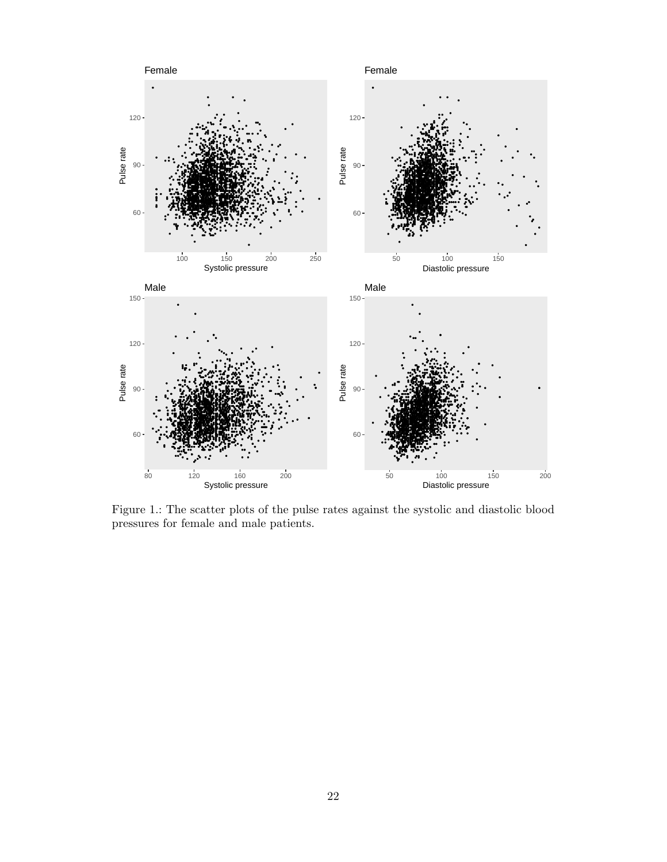<span id="page-21-0"></span>

Figure 1.: The scatter plots of the pulse rates against the systolic and diastolic blood  $\,$  pressures for female and male patients.